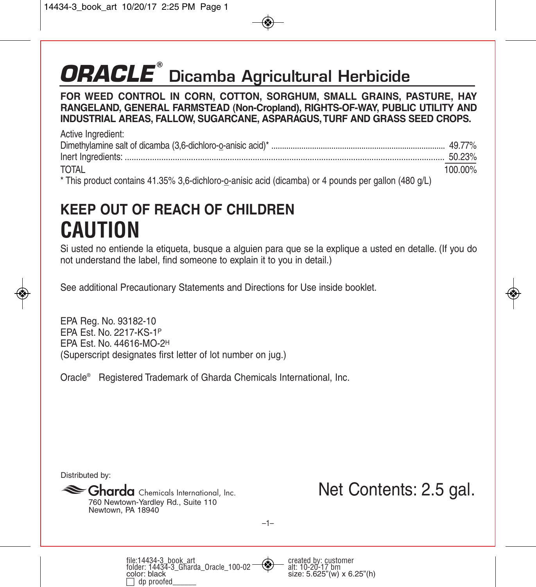# **®** *ORACLE* **Dicamba Agricultural Herbicide**

**FOR WEED CONTROL IN CORN, COTTON, SORGHUM, SMALL GRAINS, PASTURE, HAY RANGELAND, GENERAL FARMSTEAD (Non-Cropland), RIGHTS-OF-WAY, PUBLIC UTILITY AND INDUSTRIAL AREAS, FALLOW, SUGARCANE, ASPARAGUS,TURF AND GRASS SEED CROPS.**

| Active Ingredient:                                                                                   |            |
|------------------------------------------------------------------------------------------------------|------------|
|                                                                                                      |            |
|                                                                                                      |            |
| <b>TOTAL</b>                                                                                         | $100.00\%$ |
| * This product contains 41.35% 3,6-dichloro-o-anisic acid (dicamba) or 4 pounds per gallon (480 g/L) |            |

# **KEEP OUT OF REACH OF CHILDREN CAUTION**

Si usted no entiende la etiqueta, busque a alguien para que se la explique a usted en detalle. (If you do not understand the label, find someone to explain it to you in detail.)

See additional Precautionary Statements and Directions for Use inside booklet.

EPA Reg. No. 93182-10 EPA Est. No. 2217-KS-1P EPA Est. No. 44616-MO-2H (Superscript designates first letter of lot number on jug.)

Oracle® Registered Trademark of Gharda Chemicals International, Inc.

760 Newtown-Yardley Rd., Suite 110 Newtown, PA 18940

Chemicals International, Inc. Net Contents: 2.5 gal. Distributed by:

–1–

file:14434-3\_book\_art created by: customer folder: 14434-3\_Gharda\_Oracle\_100-02 **altitimes control control and the control of the control of the control of the control of the control of control and control and control stat**  $\sqcap$  dp proofed



 $size: 5.625"$ (w)  $x 6.25"$ (h)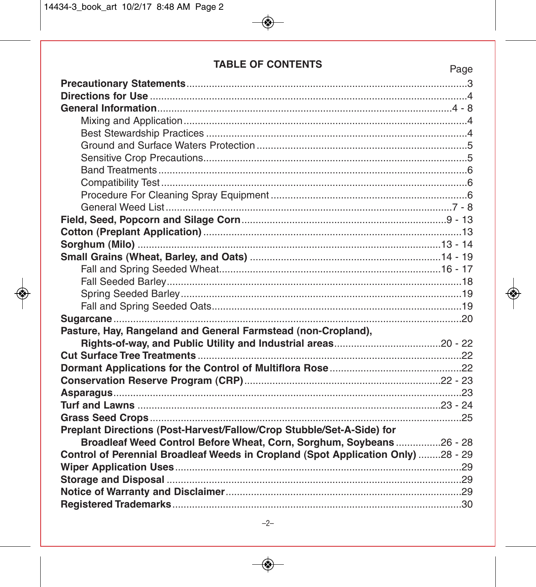# **TABLE OF CONTENTS**

| <b>TABLE OF CONTENTS</b>                                                         | Page |
|----------------------------------------------------------------------------------|------|
|                                                                                  |      |
|                                                                                  |      |
|                                                                                  |      |
|                                                                                  |      |
|                                                                                  |      |
|                                                                                  |      |
|                                                                                  |      |
|                                                                                  |      |
|                                                                                  |      |
|                                                                                  |      |
|                                                                                  |      |
|                                                                                  |      |
|                                                                                  |      |
|                                                                                  |      |
|                                                                                  |      |
|                                                                                  |      |
|                                                                                  |      |
|                                                                                  |      |
|                                                                                  |      |
|                                                                                  |      |
| Pasture, Hay, Rangeland and General Farmstead (non-Cropland),                    |      |
|                                                                                  |      |
|                                                                                  |      |
|                                                                                  |      |
|                                                                                  |      |
|                                                                                  |      |
|                                                                                  |      |
|                                                                                  |      |
| Preplant Directions (Post-Harvest/Fallow/Crop Stubble/Set-A-Side) for            |      |
| Broadleaf Weed Control Before Wheat, Corn, Sorghum, Soybeans26 - 28              |      |
| Control of Perennial Broadleaf Weeds in Cropland (Spot Application Only) 28 - 29 |      |
|                                                                                  |      |
|                                                                                  |      |
|                                                                                  |      |
|                                                                                  |      |

 $-2-$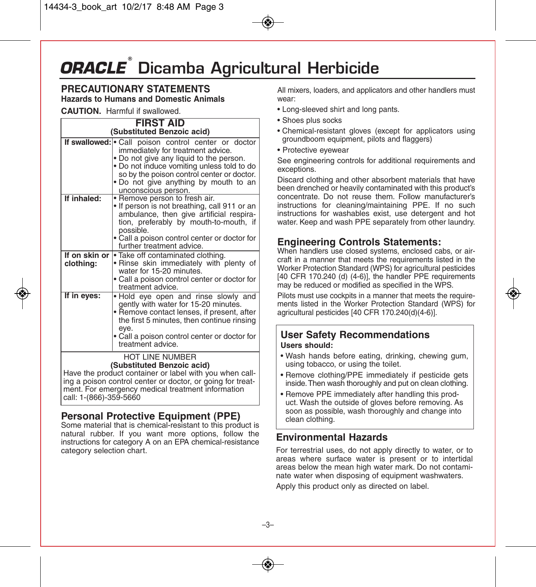# **®** *ORACLE* **Dicamba Agricultural Herbicide**

# **PRECAUTIONARY STATEMENTS**

**Hazards to Humans and Domestic Animals**

**CAUTION.** Harmful if swallowed.

# **FIRST AID (Substituted Benzoic acid)**

|                            | If swallowed: $\cdot$ Call poison control center or doctor<br>immediately for treatment advice.<br>• Do not give any liquid to the person.<br>• Do not induce vomiting unless told to do<br>so by the poison control center or doctor.<br>. Do not give anything by mouth to an<br>unconscious person. |  |  |
|----------------------------|--------------------------------------------------------------------------------------------------------------------------------------------------------------------------------------------------------------------------------------------------------------------------------------------------------|--|--|
| If inhaled:                | · Remove person to fresh air.<br>. If person is not breathing, call 911 or an<br>ambulance, then give artificial respira-<br>tion, preferably by mouth-to-mouth, if<br>possible.<br>• Call a poison control center or doctor for<br>further treatment advice.                                          |  |  |
| If on skin or<br>clothing: | • Take off contaminated clothing.<br>• Rinse skin immediately with plenty of<br>water for 15-20 minutes.<br>• Call a poison control center or doctor for<br>treatment advice.                                                                                                                          |  |  |
| If in eyes:                | . Hold eye open and rinse slowly and<br>gently with water for 15-20 minutes.<br>• Remove contact lenses, if present, after<br>the first 5 minutes, then continue rinsing<br>eye.<br>• Call a poison control center or doctor for<br>treatment advice.                                                  |  |  |
| <b>HOT LINE NUMBER</b>     |                                                                                                                                                                                                                                                                                                        |  |  |

**(Substituted Benzoic acid)**

Have the product container or label with you when calling a poison control center or doctor, or going for treatment. For emergency medical treatment information call: 1-(866)-359-5660

# **Personal Protective Equipment (PPE)**

Some material that is chemical-resistant to this product is natural rubber. If you want more options, follow the instructions for category A on an EPA chemical-resistance category selection chart.

All mixers, loaders, and applicators and other handlers must wear:

- Long-sleeved shirt and long pants.
- Shoes plus socks
- Chemical-resistant gloves (except for applicators using groundboom equipment, pilots and flaggers)
- Protective eyewear

See engineering controls for additional requirements and exceptions.

Discard clothing and other absorbent materials that have been drenched or heavily contaminated with this product's concentrate. Do not reuse them. Follow manufacturer's instructions for cleaning/maintaining PPE. If no such instructions for washables exist, use detergent and hot water. Keep and wash PPE separately from other laundry.

# **Engineering Controls Statements:**

When handlers use closed systems, enclosed cabs, or aircraft in a manner that meets the requirements listed in the Worker Protection Standard (WPS) for agricultural pesticides [40 CFR 170.240 (d) (4-6)], the handler PPE requirements may be reduced or modified as specified in the WPS.

Pilots must use cockpits in a manner that meets the requirements listed in the Worker Protection Standard (WPS) for agricultural pesticides [40 CFR 170.240(d)(4-6)].

# **User Safety Recommendations Users should:**

- Wash hands before eating, drinking, chewing gum, using tobacco, or using the toilet.
- Remove clothing/PPE immediately if pesticide gets inside.Then wash thoroughly and put on clean clothing.
- Remove PPE immediately after handling this product. Wash the outside of gloves before removing. As soon as possible, wash thoroughly and change into clean clothing.

# **Environmental Hazards**

For terrestrial uses, do not apply directly to water, or to areas where surface water is present or to intertidal areas below the mean high water mark. Do not contaminate water when disposing of equipment washwaters.

Apply this product only as directed on label.

–3–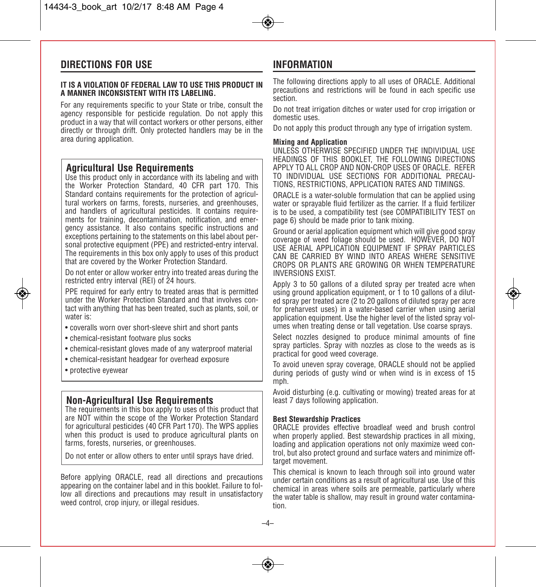14434-3\_book\_art 10/2/17 8:48 AM Page 4

# **DIRECTIONS FOR USE**

# **IT IS A VIOLATION OF FEDERAL LAW TO USE THIS PRODUCT IN A MANNER INCONSISTENT WITH ITS LABELING.**

For any requirements specific to your State or tribe, consult the agency responsible for pesticide regulation. Do not apply this product in a way that will contact workers or other persons, either directly or through drift. Only protected handlers may be in the area during application.

# **Agricultural Use Requirements**

Use this product only in accordance with its labeling and with the Worker Protection Standard, 40 CFR part 170. This Standard contains requirements for the protection of agricultural workers on farms, forests, nurseries, and greenhouses, and handlers of agricultural pesticides. It contains requirements for training, decontamination, notification, and emergency assistance. It also contains specific instructions and exceptions pertaining to the statements on this label about personal protective equipment (PPE) and restricted-entry interval. The requirements in this box only apply to uses of this product that are covered by the Worker Protection Standard.

Do not enter or allow worker entry into treated areas during the restricted entry interval (REI) of 24 hours.

PPE required for early entry to treated areas that is permitted under the Worker Protection Standard and that involves contact with anything that has been treated, such as plants, soil, or water is:

- coveralls worn over short-sleeve shirt and short pants
- chemical-resistant footware plus socks
- chemical-resistant gloves made of any waterproof material
- chemical-resistant headgear for overhead exposure
- protective eyewear

# **Non-Agricultural Use Requirements**

The requirements in this box apply to uses of this product that are NOT within the scope of the Worker Protection Standard for agricultural pesticides (40 CFR Part 170). The WPS applies when this product is used to produce agricultural plants on farms, forests, nurseries, or greenhouses.

Do not enter or allow others to enter until sprays have dried.

Before applying ORACLE, read all directions and precautions appearing on the container label and in this booklet. Failure to follow all directions and precautions may result in unsatisfactory weed control, crop injury, or illegal residues.

# **INFORMATION**

The following directions apply to all uses of ORACLE. Additional precautions and restrictions will be found in each specific use section.

Do not treat irrigation ditches or water used for crop irrigation or domestic uses.

Do not apply this product through any type of irrigation system.

#### **Mixing and Application**

UNLESS OTHERWISE SPECIFIED UNDER THE INDIVIDUAL USE HEADINGS OF THIS BOOKLET, THE FOLLOWING DIRECTIONS APPLY TO ALL CROP AND NON-CROP USES OF ORACLE. REFER TO INDIVIDUAL USE SECTIONS FOR ADDITIONAL PRECAU-TIONS, RESTRICTIONS, APPLICATION RATES AND TIMINGS.

ORACLE is a water-soluble formulation that can be applied using water or sprayable fluid fertilizer as the carrier. If a fluid fertilizer is to be used, a compatibility test (see COMPATIBILITY TEST on page 6) should be made prior to tank mixing.

Ground or aerial application equipment which will give good spray coverage of weed foliage should be used. HOWEVER, DO NOT USE AERIAL APPLICATION EQUIPMENT IF SPRAY PARTICLES CAN BE CARRIED BY WIND INTO AREAS WHERE SENSITIVE CROPS OR PLANTS ARE GROWING OR WHEN TEMPERATURE INVERSIONS EXIST.

Apply 3 to 50 gallons of a diluted spray per treated acre when using ground application equipment, or 1 to 10 gallons of a diluted spray per treated acre (2 to 20 gallons of diluted spray per acre for preharvest uses) in a water-based carrier when using aerial application equipment. Use the higher level of the listed spray volumes when treating dense or tall vegetation. Use coarse sprays.

Select nozzles designed to produce minimal amounts of fine spray particles. Spray with nozzles as close to the weeds as is practical for good weed coverage.

To avoid uneven spray coverage, ORACLE should not be applied during periods of gusty wind or when wind is in excess of 15 mph.

Avoid disturbing (e.g. cultivating or mowing) treated areas for at least 7 days following application.

# **Best Stewardship Practices**

ORACLE provides effective broadleaf weed and brush control when properly applied. Best stewardship practices in all mixing, loading and application operations not only maximize weed control, but also protect ground and surface waters and minimize offtarget movement.

This chemical is known to leach through soil into ground water under certain conditions as a result of agricultural use. Use of this chemical in areas where soils are permeable, particularly where the water table is shallow, may result in ground water contamination.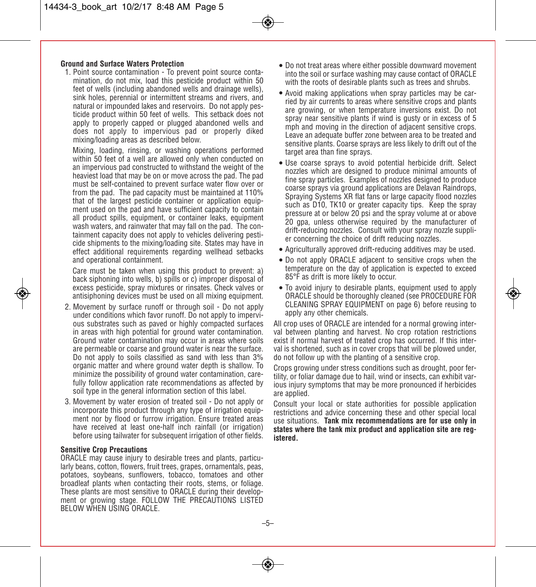# **Ground and Surface Waters Protection**

1. Point source contamination - To prevent point source contamination, do not mix, load this pesticide product within 50 feet of wells (including abandoned wells and drainage wells), sink holes, perennial or intermittent streams and rivers, and natural or impounded lakes and reservoirs. Do not apply pesticide product within 50 feet of wells. This setback does not apply to properly capped or plugged abandoned wells and does not apply to impervious pad or properly diked mixing/loading areas as described below.

Mixing, loading, rinsing, or washing operations performed within 50 feet of a well are allowed only when conducted on an impervious pad constructed to withstand the weight of the heaviest load that may be on or move across the pad. The pad must be self-contained to prevent surface water flow over or from the pad. The pad capacity must be maintained at 110% that of the largest pesticide container or application equipment used on the pad and have sufficient capacity to contain all product spills, equipment, or container leaks, equipment wash waters, and rainwater that may fall on the pad. The containment capacity does not apply to vehicles delivering pesticide shipments to the mixing/loading site. States may have in effect additional requirements regarding wellhead setbacks and operational containment.

Care must be taken when using this product to prevent: a) back siphoning into wells, b) spills or c) improper disposal of excess pesticide, spray mixtures or rinsates. Check valves or antisiphoning devices must be used on all mixing equipment.

- 2. Movement by surface runoff or through soil Do not apply under conditions which favor runoff. Do not apply to impervious substrates such as paved or highly compacted surfaces in areas with high potential for ground water contamination. Ground water contamination may occur in areas where soils are permeable or coarse and ground water is near the surface. Do not apply to soils classified as sand with less than 3% organic matter and where ground water depth is shallow. To minimize the possibility of ground water contamination, carefully follow application rate recommendations as affected by soil type in the general information section of this label.
- 3. Movement by water erosion of treated soil Do not apply or incorporate this product through any type of irrigation equipment nor by flood or furrow irrigation. Ensure treated areas have received at least one-half inch rainfall (or irrigation) before using tailwater for subsequent irrigation of other fields.

# **Sensitive Crop Precautions**

ORACLE may cause injury to desirable trees and plants, particularly beans, cotton, flowers, fruit trees, grapes, ornamentals, peas, potatoes, soybeans, sunflowers, tobacco, tomatoes and other broadleaf plants when contacting their roots, stems, or foliage. These plants are most sensitive to ORACLE during their development or growing stage. FOLLOW THE PRECAUTIONS LISTED BELOW WHEN USING ORACLE.

- Do not treat areas where either possible downward movement into the soil or surface washing may cause contact of ORACLE with the roots of desirable plants such as trees and shrubs.
- Avoid making applications when spray particles may be carried by air currents to areas where sensitive crops and plants are growing, or when temperature inversions exist. Do not spray near sensitive plants if wind is gusty or in excess of 5 mph and moving in the direction of adjacent sensitive crops. Leave an adequate buffer zone between area to be treated and sensitive plants. Coarse sprays are less likely to drift out of the target area than fine sprays.
- Use coarse sprays to avoid potential herbicide drift. Select nozzles which are designed to produce minimal amounts of fine spray particles. Examples of nozzles designed to produce coarse sprays via ground applications are Delavan Raindrops, Spraying Systems XR flat fans or large capacity flood nozzles such as D10, TK10 or greater capacity tips. Keep the spray pressure at or below 20 psi and the spray volume at or above 20 gpa, unless otherwise required by the manufacturer of drift-reducing nozzles. Consult with your spray nozzle supplier concerning the choice of drift reducing nozzles.
- Agriculturally approved drift-reducing additives may be used.
- Do not apply ORACLE adjacent to sensitive crops when the temperature on the day of application is expected to exceed 85°F as drift is more likely to occur.
- To avoid injury to desirable plants, equipment used to apply ORACLE should be thoroughly cleaned (see PROCEDURE FOR CLEANING SPRAY EQUIPMENT on page 6) before reusing to apply any other chemicals.

All crop uses of ORACLE are intended for a normal growing interval between planting and harvest. No crop rotation restrictions exist if normal harvest of treated crop has occurred. If this interval is shortened, such as in cover crops that will be plowed under, do not follow up with the planting of a sensitive crop.

Crops growing under stress conditions such as drought, poor fertility, or foliar damage due to hail, wind or insects, can exhibit various injury symptoms that may be more pronounced if herbicides are applied.

Consult your local or state authorities for possible application restrictions and advice concerning these and other special local use situations. **Tank mix recommendations are for use only in states where the tank mix product and application site are registered.**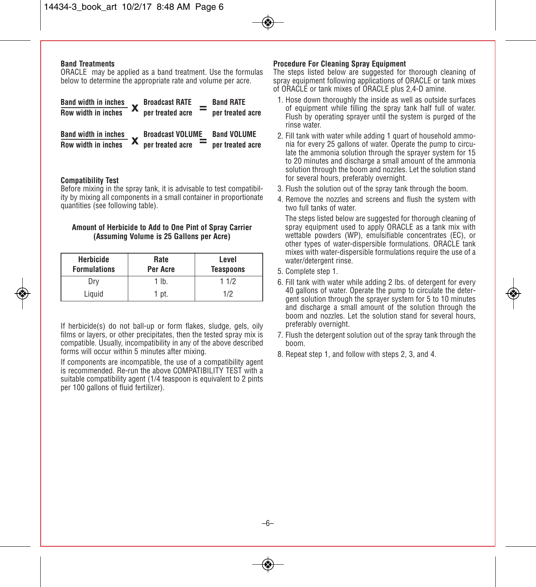

# **Band Treatments**

ORACLE may be applied as a band treatment. Use the formulas below to determine the appropriate rate and volume per acre.



# **Compatibility Test**

Before mixing in the spray tank, it is advisable to test compatibility by mixing all components in a small container in proportionate quantities (see following table).

# **Amount of Herbicide to Add to One Pint of Spray Carrier (Assuming Volume is 25 Gallons per Acre)**

| Herbicide<br><b>Formulations</b> | Rate<br>Per Acre | Level<br><b>Teaspoons</b> |
|----------------------------------|------------------|---------------------------|
| Dry                              | 1 lb.            | 11/2                      |
| Liguid                           | pt.              | 1/2                       |

If herbicide(s) do not ball-up or form flakes, sludge, gels, oily films or layers, or other precipitates, then the tested spray mix is compatible. Usually, incompatibility in any of the above described forms will occur within 5 minutes after mixing.

If components are incompatible, the use of a compatibility agent is recommended. Re-run the above COMPATIBILITY TEST with a suitable compatibility agent (1/4 teaspoon is equivalent to 2 pints per 100 gallons of fluid fertilizer).

#### **Procedure For Cleaning Spray Equipment**

The steps listed below are suggested for thorough cleaning of spray equipment following applications of ORACLE or tank mixes of ORACLE or tank mixes of ORACLE plus 2,4-D amine.

- 1. Hose down thoroughly the inside as well as outside surfaces of equipment while filling the spray tank half full of water. Flush by operating sprayer until the system is purged of the rinse water.
- 2. Fill tank with water while adding 1 quart of household ammonia for every 25 gallons of water. Operate the pump to circulate the ammonia solution through the sprayer system for 15 to 20 minutes and discharge a small amount of the ammonia solution through the boom and nozzles. Let the solution stand for several hours, preferably overnight.
- 3. Flush the solution out of the spray tank through the boom.
- 4. Remove the nozzles and screens and flush the system with two full tanks of water.

The steps listed below are suggested for thorough cleaning of spray equipment used to apply ORACLE as a tank mix with wettable powders (WP), emulsifiable concentrates (EC), or other types of water-dispersible formulations. ORACLE tank mixes with water-dispersible formulations require the use of a water/detergent rinse.

- 5. Complete step 1.
- 6. Fill tank with water while adding 2 lbs. of detergent for every 40 gallons of water. Operate the pump to circulate the detergent solution through the sprayer system for 5 to 10 minutes and discharge a small amount of the solution through the boom and nozzles. Let the solution stand for several hours, preferably overnight.
- 7. Flush the detergent solution out of the spray tank through the boom.
- 8. Repeat step 1, and follow with steps 2, 3, and 4.

–6–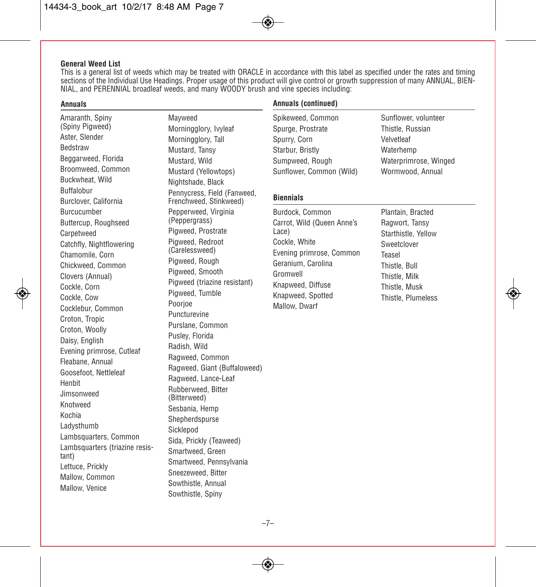# **General Weed List**

This is a general list of weeds which may be treated with ORACLE in accordance with this label as specified under the rates and timing sections of the Individual Use Headings. Proper usage of this product will give control or growth suppression of many ANNUAL, BIEN-NIAL, and PERENNIAL broadleaf weeds, and many WOODY brush and vine species including:

#### **Annuals**

Amaranth, Spiny (Spiny Pigweed) Aster, Slender Bedstraw Beggarweed, Florida Broomweed, Common Buckwheat, Wild Buffalobur Burclover, California Burcucumber Buttercup, Roughseed Carpetweed Catchfly, Nightflowering Chamomile, Corn Chickweed, Common Clovers (Annual) Cockle, Corn Cockle, Cow Cocklebur, Common Croton, Tropic Croton, Woolly Daisy, English Evening primrose, Cutleaf Fleabane, Annual Goosefoot, Nettleleaf Henbit Jimsonweed Knotweed Kochia Ladysthumb Lambsquarters, Common Lambsquarters (triazine resistant) Lettuce, Prickly Mallow, Common Mallow, Venice

Mayweed Morningglory, Ivyleaf Morningglory, Tall Mustard, Tansy Mustard, Wild Mustard (Yellowtops) Nightshade, Black Pennycress, Field (Fanweed, Frenchweed, Stinkweed) Pepperweed, Virginia (Peppergrass) Pigweed, Prostrate Pigweed, Redroot (Carelessweed) Pigweed, Rough Pigweed, Smooth Pigweed (triazine resistant) Pigweed, Tumble Poorjoe Puncturevine Purslane, Common Pusley, Florida Radish, Wild Ragweed, Common Ragweed, Giant (Buffaloweed) Ragweed, Lance-Leaf Rubberweed, Bitter (Bitterweed) Sesbania, Hemp Shepherdspurse Sicklepod Sida, Prickly (Teaweed) Smartweed, Green Smartweed, Pennsylvania Sneezeweed, Bitter Sowthistle, Annual Sowthistle, Spiny

# **Annuals (continued)**

Spikeweed, Common Spurge, Prostrate Spurry, Corn Starbur, Bristly Sumpweed, Rough Sunflower, Common (Wild)

# **Biennials**

- Burdock, Common Carrot, Wild (Queen Anne's Lace) Cockle, White Evening primrose, Common Geranium, Carolina Gromwell Knapweed, Diffuse Knapweed, Spotted Mallow, Dwarf
- Thistle, Russian Velvetleaf Waterhemp Waterprimrose, Winged Wormwood, Annual

Sunflower, volunteer

Plantain, Bracted Ragwort, Tansy Starthistle, Yellow Sweetclover Teasel Thistle, Bull Thistle, Milk Thistle, Musk Thistle, Plumeless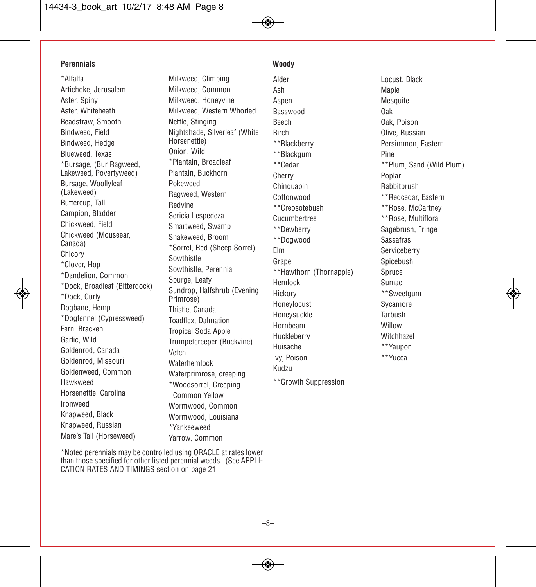# 14434-3\_book\_art 10/2/17 8:48 AM Page 8



# **Perennials**

\*Alfalfa Artichoke, Jerusalem Aster, Spiny Aster, Whiteheath Beadstraw, Smooth Bindweed, Field Bindweed, Hedge Blueweed, Texas \*Bursage, (Bur Ragweed, Lakeweed, Povertyweed) Bursage, Woollyleaf (Lakeweed) Buttercup, Tall Campion, Bladder Chickweed, Field Chickweed (Mouseear, Canada) Chicory \*Clover, Hop \*Dandelion, Common \*Dock, Broadleaf (Bitterdock) \*Dock, Curly Dogbane, Hemp \*Dogfennel (Cypressweed) Fern, Bracken Garlic, Wild Goldenrod, Canada Goldenrod, Missouri Goldenweed, Common Hawkweed Horsenettle, Carolina Ironweed Knapweed, Black Knapweed, Russian Mare's Tail (Horseweed)

Milkweed, Climbing Milkweed, Common Milkweed, Honeyvine Milkweed, Western Whorled Nettle, Stinging Nightshade, Silverleaf (White Horsenettle) Onion, Wild \*Plantain, Broadleaf Plantain, Buckhorn Pokeweed Ragweed, Western Redvine Sericia Lespedeza Smartweed, Swamp Snakeweed, Broom \*Sorrel, Red (Sheep Sorrel) Sowthistle Sowthistle, Perennial Spurge, Leafy Sundrop, Halfshrub (Evening Primrose) Thistle, Canada Toadflex, Dalmation Tropical Soda Apple Trumpetcreeper (Buckvine) Vetch Waterhemlock Waterprimrose, creeping \*Woodsorrel, Creeping Common Yellow Wormwood, Common Wormwood, Louisiana \*Yankeeweed

# **Woody**

Alder Ash Aspen Basswood Beech Birch \*\*Blackberry \*\*Blackgum \*\*Cedar Cherry Chinquapin Cottonwood \*\*Creosotebush Cucumbertree \*\*Dewberry \*\*Dogwood Elm Grape \*\*Hawthorn (Thornapple) Hemlock **Hickory** Honeylocust Honeysuckle Hornbeam Huckleberry Huisache Ivy, Poison Kudzu

\*\*Growth Suppression

Locust, Black Maple **Mesquite** Oak Oak, Poison Olive, Russian Persimmon, Eastern Pine \*\*Plum, Sand (Wild Plum) Poplar **Rabbitbrush** \*\*Redcedar, Eastern \*\*Rose, McCartney \*\*Rose, Multiflora Sagebrush, Fringe Sassafras Serviceberry Spicebush Spruce Sumac \*\*Sweetgum Sycamore Tarbush Willow **Witchhazel** \*\*Yaupon \*\*Yucca

\*Noted perennials may be controlled using ORACLE at rates lower than those specified for other listed perennial weeds. (See APPLI-CATION RATES AND TIMINGS section on page 21.

Yarrow, Common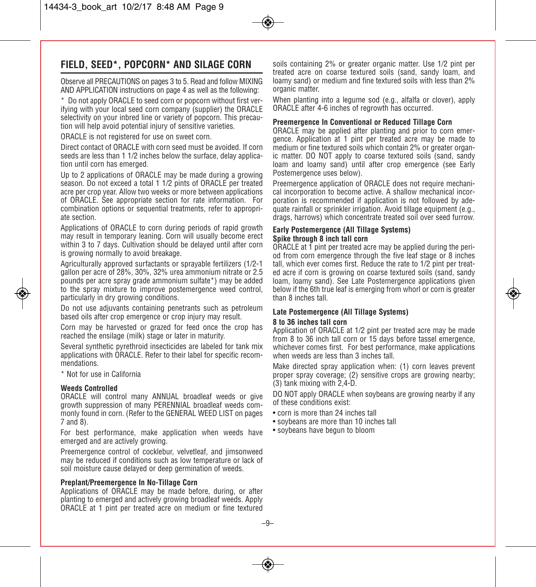# **FIELD, SEED\*, POPCORN\* AND SILAGE CORN**

Observe all PRECAUTIONS on pages 3 to 5. Read and follow MIXING AND APPLICATION instructions on page 4 as well as the following:

\* Do not apply ORACLE to seed corn or popcorn without first verifying with your local seed corn company (supplier) the ORACLE selectivity on your inbred line or variety of popcorn. This precaution will help avoid potential injury of sensitive varieties.

ORACLE is not registered for use on sweet corn.

Direct contact of ORACLE with corn seed must be avoided. If corn seeds are less than 1 1/2 inches below the surface, delay application until corn has emerged.

Up to 2 applications of ORACLE may be made during a growing season. Do not exceed a total 1 1/2 pints of ORACLE per treated acre per crop year. Allow two weeks or more between applications of ORACLE. See appropriate section for rate information. For combination options or sequential treatments, refer to appropriate section.

Applications of ORACLE to corn during periods of rapid growth may result in temporary leaning. Corn will usually become erect within 3 to 7 days. Cultivation should be delayed until after corn is growing normally to avoid breakage.

Agriculturally approved surfactants or sprayable fertilizers (1/2-1 gallon per acre of 28%, 30%, 32% urea ammonium nitrate or 2.5 pounds per acre spray grade ammonium sulfate\*) may be added to the spray mixture to improve postemergence weed control, particularly in dry growing conditions.

Do not use adjuvants containing penetrants such as petroleum based oils after crop emergence or crop injury may result.

Corn may be harvested or grazed for feed once the crop has reached the ensilage (milk) stage or later in maturity.

Several synthetic pyrethroid insecticides are labeled for tank mix applications with ORACLE. Refer to their label for specific recommendations.

\* Not for use in California

### **Weeds Controlled**

ORACLE will control many ANNUAL broadleaf weeds or give growth suppression of many PERENNIAL broadleaf weeds commonly found in corn. (Refer to the GENERAL WEED LIST on pages 7 and 8).

For best performance, make application when weeds have emerged and are actively growing.

Preemergence control of cocklebur, velvetleaf, and jimsonweed may be reduced if conditions such as low temperature or lack of soil moisture cause delayed or deep germination of weeds.

# **Preplant/Preemergence In No-Tillage Corn**

Applications of ORACLE may be made before, during, or after planting to emerged and actively growing broadleaf weeds. Apply ORACLE at 1 pint per treated acre on medium or fine textured

soils containing 2% or greater organic matter. Use 1/2 pint per treated acre on coarse textured soils (sand, sandy loam, and loamy sand) or medium and fine textured soils with less than 2% organic matter.

When planting into a legume sod (e.g., alfalfa or clover), apply ORACLE after 4-6 inches of regrowth has occurred.

# **Preemergence In Conventional or Reduced Tillage Corn**

ORACLE may be applied after planting and prior to corn emergence. Application at 1 pint per treated acre may be made to medium or fine textured soils which contain 2% or greater organic matter. DO NOT apply to coarse textured soils (sand, sandy loam and loamy sand) until after crop emergence (see Early Postemergence uses below).

Preemergence application of ORACLE does not require mechanical incorporation to become active. A shallow mechanical incorporation is recommended if application is not followed by adequate rainfall or sprinkler irrigation. Avoid tillage equipment (e.g., drags, harrows) which concentrate treated soil over seed furrow.

### **Early Postemergence (All Tillage Systems) Spike through 8 inch tall corn**

ORACLE at 1 pint per treated acre may be applied during the period from corn emergence through the five leaf stage or 8 inches tall, which ever comes first. Reduce the rate to 1/2 pint per treated acre if corn is growing on coarse textured soils (sand, sandy loam, loamy sand). See Late Postemergence applications given below if the 6th true leaf is emerging from whorl or corn is greater than 8 inches tall.

# **Late Postemergence (All Tillage Systems)**

# **8 to 36 inches tall corn**

Application of ORACLE at 1/2 pint per treated acre may be made from 8 to 36 inch tall corn or 15 days before tassel emergence, whichever comes first. For best performance, make applications when weeds are less than 3 inches tall.

Make directed spray application when: (1) corn leaves prevent proper spray coverage; (2) sensitive crops are growing nearby; (3) tank mixing with 2,4-D.

DO NOT apply ORACLE when soybeans are growing nearby if any of these conditions exist:

- corn is more than 24 inches tall
- soybeans are more than 10 inches tall
- soybeans have begun to bloom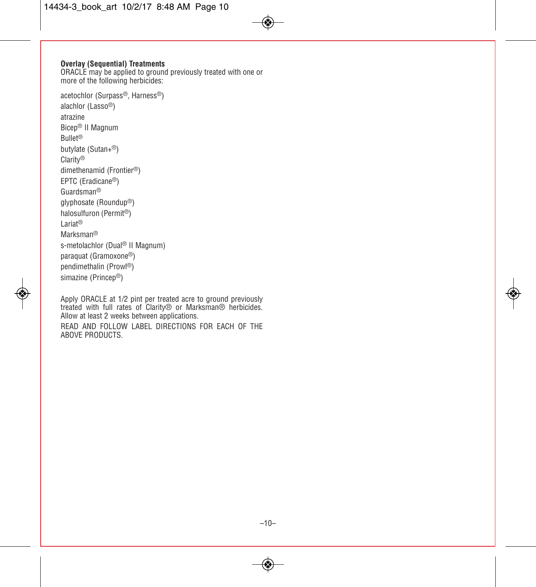# **Overlay (Sequential) Treatments**

ORACLE may be applied to ground previously treated with one or more of the following herbicides:

acetochlor (Surpass®, Harness®) alachlor (Lasso®) atrazine Bicep® II Magnum Bullet ® butylate (Sutan+®) Clarity® dimethenamid (Frontier®) EPTC (Eradicane®) Guardsman® glyphosate (Roundup®) halosulfuron (Permit ®) Lariat ® Marksman® s-metolachlor (Dual ® II Magnum) paraquat (Gramoxone®) pendimethalin (Prowl ®) simazine (Princep®)

Apply ORACLE at 1/2 pint per treated acre to ground previously treated with full rates of Clarity® or Marksman® herbicides. Allow at least 2 weeks between applications. READ AND FOLLOW LABEL DIRECTIONS FOR EACH OF THE ABOVE PRODUCTS.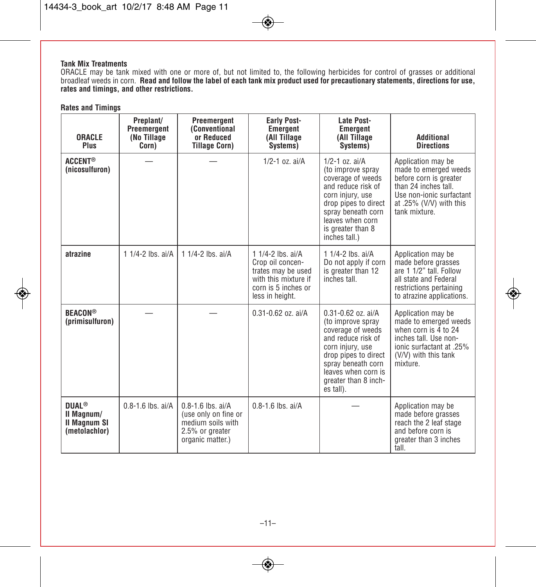# **Tank Mix Treatments**

ORACLE may be tank mixed with one or more of, but not limited to, the following herbicides for control of grasses or additional<br>broadleaf weeds in corn. **Read and follow the label of each tank mix product used for precauti rates and timings, and other restrictions.**

|  | <b>Rates and Timings</b> |
|--|--------------------------|
|  |                          |

| <b>ORACLE</b><br>Plus                                            | Preplant/<br>Preemergent<br>(No Tillage<br>Corn) | Preemergent<br>(Conventional<br>or Reduced<br><b>Tillage Corn)</b>                                        | <b>Early Post-</b><br><b>Emergent</b><br>(All Tillage<br>Systems)                                                               | Late Post-<br>Emeraent<br>(All Tillage<br>Systems)                                                                                                                                                                    | Additional<br><b>Directions</b>                                                                                                                                       |
|------------------------------------------------------------------|--------------------------------------------------|-----------------------------------------------------------------------------------------------------------|---------------------------------------------------------------------------------------------------------------------------------|-----------------------------------------------------------------------------------------------------------------------------------------------------------------------------------------------------------------------|-----------------------------------------------------------------------------------------------------------------------------------------------------------------------|
| <b>ACCENT®</b><br>(nicosulfuron)                                 |                                                  |                                                                                                           | $1/2 - 1$ oz. ai/A                                                                                                              | $1/2 - 1$ oz. ai/A<br>(to improve spray<br>coverage of weeds<br>and reduce risk of<br>corn injury, use<br>drop pipes to direct<br>spray beneath corn<br>leaves when corn<br>is greater than 8<br>inches tall.)        | Application may be<br>made to emerged weeds<br>before corn is greater<br>than 24 inches tall.<br>Use non-ionic surfactant<br>at .25% (V/V) with this<br>tank mixture. |
| atrazine                                                         | 1 $1/4-2$ lbs. ai/A                              | 1 1/4-2 lbs. ai/A                                                                                         | 1 $1/4-2$ lbs. ai/A<br>Crop oil concen-<br>trates may be used<br>with this mixture if<br>corn is 5 inches or<br>less in height. | 1 1/4-2 lbs. ai/A<br>Do not apply if corn<br>is greater than 12<br>inches tall.                                                                                                                                       | Application may be<br>made before grasses<br>are 1 1/2" tall. Follow<br>all state and Federal<br>restrictions pertaining<br>to atrazine applications.                 |
| <b>BEACON®</b><br>(primisulfuron)                                |                                                  |                                                                                                           | $0.31 - 0.62$ oz. ai/A                                                                                                          | $0.31 - 0.62$ oz. ai/A<br>(to improve spray)<br>coverage of weeds<br>and reduce risk of<br>corn injury, use<br>drop pipes to direct<br>spray beneath corn<br>leaves when corn is<br>greater than 8 inch-<br>es tall). | Application may be<br>made to emerged weeds<br>when corn is 4 to 24<br>inches tall. Use non-<br>ionic surfactant at 25%<br>(V/V) with this tank<br>mixture.           |
| DUAL <sup>®</sup><br>II Magnum/<br>II Magnum SI<br>(metolachlor) | $0.8 - 1.6$ lbs. ai/A                            | $0.8 - 1.6$ lbs. ai/A<br>(use only on fine or<br>medium soils with<br>2.5% or greater<br>organic matter.) | $0.8 - 1.6$ lhs $ai/A$                                                                                                          |                                                                                                                                                                                                                       | Application may be<br>made before grasses<br>reach the 2 leaf stage<br>and before corn is<br>greater than 3 inches<br>tall.                                           |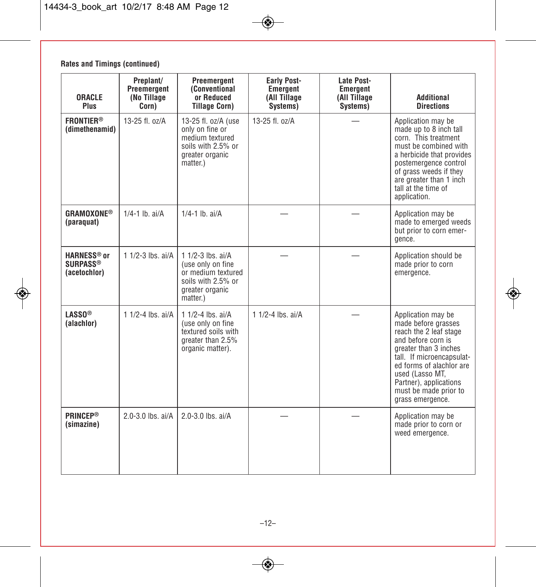**Rates and Timings (continued)**

| <b>ORACLE</b><br>Plus                                      | Preplant/<br>Preemergent<br>(No Tillage<br>Corn) | Preemergent<br>(Conventional<br>or Reduced<br><b>Tillage Corn)</b>                                                | <b>Early Post-</b><br><b>Emergent</b><br>(All Tillage<br>Systems) | Late Post-<br>Emergent<br>(All Tillage<br>Systems) | Additional<br><b>Directions</b>                                                                                                                                                                                                                                       |
|------------------------------------------------------------|--------------------------------------------------|-------------------------------------------------------------------------------------------------------------------|-------------------------------------------------------------------|----------------------------------------------------|-----------------------------------------------------------------------------------------------------------------------------------------------------------------------------------------------------------------------------------------------------------------------|
| <b>FRONTIER®</b><br>(dimethenamid)                         | 13-25 fl. oz/A                                   | 13-25 fl. oz/A (use<br>only on fine or<br>medium textured<br>soils with 2.5% or<br>greater organic<br>matter.)    | 13-25 fl. oz/A                                                    |                                                    | Application may be<br>made up to 8 inch tall<br>corn. This treatment<br>must be combined with<br>a herbicide that provides<br>postemergence control<br>of grass weeds if they<br>are greater than 1 inch<br>tall at the time of<br>application.                       |
| <b>GRAMOXONE®</b><br>(paraquat)                            | $1/4 - 1$ lb. ai/A                               | $1/4 - 1$ lb. ai/A                                                                                                |                                                                   |                                                    | Application may be<br>made to emerged weeds<br>but prior to corn emer-<br>gence.                                                                                                                                                                                      |
| HARNESS <sup>®</sup> or<br><b>SURPASS®</b><br>(acetochlor) | 1 1/2-3 lbs. ai/A                                | 1 1/2-3 lbs. ai/A<br>(use only on fine<br>or medium textured<br>soils with 2.5% or<br>greater organic<br>matter.) |                                                                   |                                                    | Application should be<br>made prior to corn<br>emergence.                                                                                                                                                                                                             |
| LASS <sub>0®</sub><br>(alachlor)                           | 1 1/2-4 lbs. ai/A                                | 1 1/2-4 lbs. ai/A<br>(use only on fine)<br>textured soils with<br>greater than 2.5%<br>organic matter).           | 1 1/2-4 lbs. ai/A                                                 |                                                    | Application may be<br>made before grasses<br>reach the 2 leaf stage<br>and before corn is<br>greater than 3 inches<br>tall. If microencapsulat-<br>ed forms of alachlor are<br>used (Lasso MT,<br>Partner), applications<br>must be made prior to<br>grass emergence. |
| <b>PRINCEP®</b><br>(simazine)                              | $2.0 - 3.0$ lbs. ai/A                            | $2.0 - 3.0$ lbs. ai/A                                                                                             |                                                                   |                                                    | Application may be<br>made prior to corn or<br>weed emergence.                                                                                                                                                                                                        |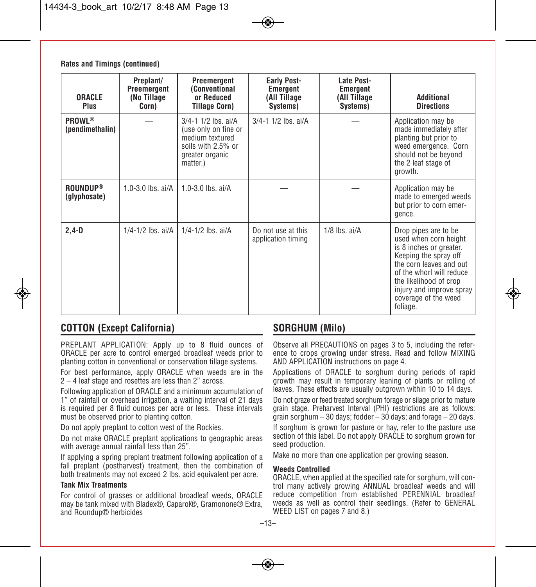**Rates and Timings (continued)**

| <b>ORACLE</b><br><b>Plus</b>                | Preplant/<br>Preemergent<br>(No Tillage<br>Corn) | Preemergent<br>(Conventional<br>or Reduced<br>Tillage Corn)                                                             | <b>Early Post-</b><br>Emergent<br>(All Tillage<br>Systems) | Late Post-<br>Emergent<br>(All Tillage<br>Systems) | Additional<br><b>Directions</b>                                                                                                                                                                                                                    |
|---------------------------------------------|--------------------------------------------------|-------------------------------------------------------------------------------------------------------------------------|------------------------------------------------------------|----------------------------------------------------|----------------------------------------------------------------------------------------------------------------------------------------------------------------------------------------------------------------------------------------------------|
| <b>PROWL<sup>®</sup></b><br>(pendimethalin) |                                                  | $3/4 - 1$ 1/2 lbs. ai/A<br>(use only on fine or<br>medium textured<br>soils with 2.5% or<br>greater organic<br>matter.) | $3/4 - 1$ 1/2 lbs. ai/A                                    |                                                    | Application may be<br>made immediately after<br>planting but prior to<br>weed emergence. Corn<br>should not be beyond<br>the 2 leaf stage of<br>growth.                                                                                            |
| <b>ROUNDUP®</b><br>(glyphosate)             | 1.0-3.0 lbs. $ai/A$                              | 1.0-3.0 lbs. $ai/A$                                                                                                     |                                                            |                                                    | Application may be<br>made to emerged weeds<br>but prior to corn emer-<br>gence.                                                                                                                                                                   |
| $2,4-D$                                     | $1/4 - 1/2$ lbs. ai/A                            | $1/4 - 1/2$ lbs. ai/A                                                                                                   | Do not use at this<br>application timing                   | $1/8$ lbs. ai/A                                    | Drop pipes are to be<br>used when corn height<br>is 8 inches or greater.<br>Keeping the spray off<br>the corn leaves and out<br>of the whorl will reduce<br>the likelihood of crop<br>injury and improve spray<br>coverage of the weed<br>foliage. |

# **COTTON (Except California)**

PREPLANT APPLICATION: Apply up to 8 fluid ounces of ORACLE per acre to control emerged broadleaf weeds prior to planting cotton in conventional or conservation tillage systems.

For best performance, apply ORACLE when weeds are in the 2 – 4 leaf stage and rosettes are less than 2" across.

Following application of ORACLE and a minimum accumulation of 1" of rainfall or overhead irrigation, a waiting interval of 21 days is required per 8 fluid ounces per acre or less. These intervals must be observed prior to planting cotton.

Do not apply preplant to cotton west of the Rockies.

Do not make ORACLE preplant applications to geographic areas with average annual rainfall less than 25".

If applying a spring preplant treatment following application of a fall preplant (postharvest) treatment, then the combination of both treatments may not exceed 2 lbs. acid equivalent per acre.

# **Tank Mix Treatments**

For control of grasses or additional broadleaf weeds, ORACLE may be tank mixed with Bladex®, Caparol®, Gramonone® Extra, and Roundup® herbicides

# **SORGHUM (Milo)**

Observe all PRECAUTIONS on pages 3 to 5, including the reference to crops growing under stress. Read and follow MIXING AND APPLICATION instructions on page 4.

Applications of ORACLE to sorghum during periods of rapid growth may result in temporary leaning of plants or rolling of leaves. These effects are usually outgrown within 10 to 14 days.

Do not graze or feed treated sorghum forage or silage prior to mature grain stage. Preharvest Interval (PHI) restrictions are as follows: grain sorghum – 30 days; fodder – 30 days; and forage – 20 days. If sorghum is grown for pasture or hay, refer to the pasture use section of this label. Do not apply ORACLE to sorghum grown for seed production.

Make no more than one application per growing season.

#### **Weeds Controlled**

ORACLE, when applied at the specified rate for sorghum, will control many actively growing ANNUAL broadleaf weeds and will reduce competition from established PERENNIAL broadleaf weeds as well as control their seedlings. (Refer to GENERAL WEED LIST on pages 7 and 8.)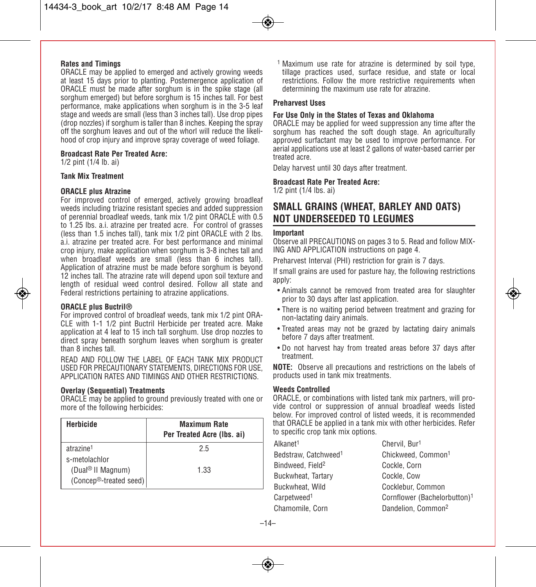

#### **Rates and Timings**

ORACLE may be applied to emerged and actively growing weeds at least 15 days prior to planting. Postemergence application of ORACLE must be made after sorghum is in the spike stage (all sorghum emerged) but before sorghum is 15 inches tall. For best performance, make applications when sorghum is in the 3-5 leaf stage and weeds are small (less than 3 inches tall). Use drop pipes (drop nozzles) if sorghum is taller than 8 inches. Keeping the spray off the sorghum leaves and out of the whorl will reduce the likelihood of crop injury and improve spray coverage of weed foliage.

#### **Broadcast Rate Per Treated Acre:**

1/2 pint (1/4 lb. ai)

#### **Tank Mix Treatment**

#### **ORACLE plus Atrazine**

For improved control of emerged, actively growing broadleaf weeds including triazine resistant species and added suppression of perennial broadleaf weeds, tank mix 1/2 pint ORACLE with 0.5 to 1.25 lbs. a.i. atrazine per treated acre. For control of grasses (less than 1.5 inches tall), tank mix 1/2 pint ORACLE with 2 lbs. a.i. atrazine per treated acre. For best performance and minimal crop injury, make application when sorghum is 3-8 inches tall and when broadleaf weeds are small (less than 6 inches tall). Application of atrazine must be made before sorghum is beyond 12 inches tall. The atrazine rate will depend upon soil texture and length of residual weed control desired. Follow all state and Federal restrictions pertaining to atrazine applications.

### **ORACLE plus Buctril®**

For improved control of broadleaf weeds, tank mix 1/2 pint ORA-CLE with 1-1 1/2 pint Buctril Herbicide per treated acre. Make application at 4 leaf to 15 inch tall sorghum. Use drop nozzles to direct spray beneath sorghum leaves when sorghum is greater than 8 inches tall.

READ AND FOLLOW THE LABEL OF EACH TANK MIX PRODUCT USED FOR PRECAUTIONARY STATEMENTS, DIRECTIONS FOR USE, APPLICATION RATES AND TIMINGS AND OTHER RESTRICTIONS.

# **Overlay (Sequential) Treatments**

ORACLE may be applied to ground previously treated with one or more of the following herbicides:

| Herbicide                                                            | <b>Maximum Rate</b><br>Per Treated Acre (Ibs. ai) |
|----------------------------------------------------------------------|---------------------------------------------------|
| atrazine <sup>1</sup><br>s-metolachlor                               | 25                                                |
| (Dual <sup>®</sup> II Magnum)<br>(Concep <sup>®</sup> -treated seed) | 1.33                                              |

1 Maximum use rate for atrazine is determined by soil type, tillage practices used, surface residue, and state or local restrictions. Follow the more restrictive requirements when determining the maximum use rate for atrazine.

# **Preharvest Uses**

#### **For Use Only in the States of Texas and Oklahoma**

ORACLE may be applied for weed suppression any time after the sorghum has reached the soft dough stage. An agriculturally approved surfactant may be used to improve performance. For aerial applications use at least 2 gallons of water-based carrier per treated acre.

Delay harvest until 30 days after treatment.

### **Broadcast Rate Per Treated Acre:**

1/2 pint (1/4 lbs. ai)

# **SMALL GRAINS (WHEAT, BARLEY AND OATS) NOT UNDERSEEDED TO LEGUMES**

#### **Important**

Observe all PRECAUTIONS on pages 3 to 5. Read and follow MIX-ING AND APPLICATION instructions on page 4.

Preharvest Interval (PHI) restriction for grain is 7 days.

If small grains are used for pasture hay, the following restrictions apply:

- Animals cannot be removed from treated area for slaughter prior to 30 days after last application.
- There is no waiting period between treatment and grazing for non-lactating dairy animals.
- Treated areas may not be grazed by lactating dairy animals before 7 days after treatment.
- Do not harvest hay from treated areas before 37 days after treatment.

**NOTE:** Observe all precautions and restrictions on the labels of products used in tank mix treatments.

#### **Weeds Controlled**

ORACLE, or combinations with listed tank mix partners, will provide control or suppression of annual broadleaf weeds listed below. For improved control of listed weeds, it is recommended that ORACLE be applied in a tank mix with other herbicides. Refer to specific crop tank mix options.

| Alkanet <sup>1</sup>             | Chervil. Bur <sup>1</sup>                |
|----------------------------------|------------------------------------------|
| Bedstraw, Catchweed <sup>1</sup> | Chickweed, Common <sup>1</sup>           |
| Bindweed, Field <sup>2</sup>     | Cockle, Corn                             |
| Buckwheat, Tartary               | Cockle, Cow                              |
| Buckwheat, Wild                  | Cocklebur, Common                        |
| Carpetweed <sup>1</sup>          | Cornflower (Bachelorbutton) <sup>1</sup> |
| Chamomile, Corn                  | Dandelion, Common <sup>2</sup>           |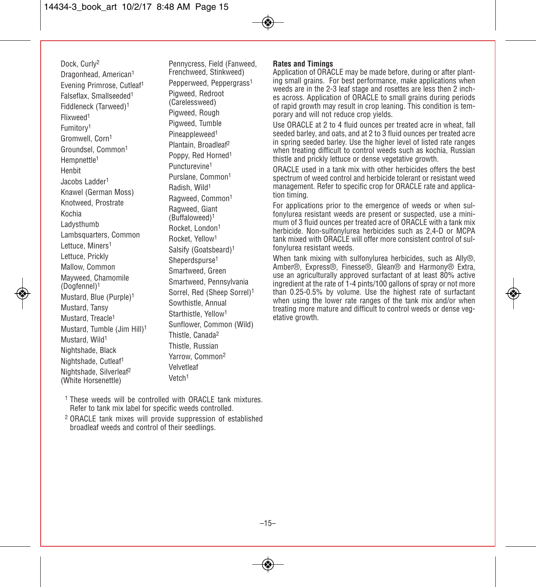Dock, Curly2 Dragonhead, American1 Evening Primrose, Cutleaf 1 Falseflax, Smallseeded1 Fiddleneck (Tarweed)1 Flixweed1 Fumitory1 Gromwell, Corn1 Groundsel, Common1 Hempnettle1 Henbit Jacobs Ladder1 Knawel (German Moss) Knotweed, Prostrate Kochia Ladysthumb Lambsquarters, Common Lettuce, Miners<sup>1</sup> Lettuce, Prickly Mallow, Common Mayweed, Chamomile (Dogfennel)1 Mustard, Blue (Purple)1 Mustard, Tansy Mustard, Treacle<sup>1</sup> Mustard, Tumble (Jim Hill)1 Mustard, Wild<sup>1</sup> Nightshade, Black Nightshade, Cutleaf<sup>1</sup> Nightshade, Silverleaf<sup>2</sup> (White Horsenettle)

Pennycress, Field (Fanweed, Frenchweed, Stinkweed) Pepperweed, Peppergrass<sup>1</sup> Pigweed, Redroot (Carelessweed) Pigweed, Rough Pigweed, Tumble Pineappleweed<sup>1</sup> Plantain, Broadleaf 2 Poppy, Red Horned1 Puncturevine1 Purslane, Common1 Radish, Wild1 Ragweed, Common1 Ragweed, Giant (Buffaloweed)1 Rocket, London1 Rocket, Yellow1 Salsify (Goatsbeard)1 Sheperdspurse<sup>1</sup> Smartweed, Green Smartweed, Pennsylvania Sorrel, Red (Sheep Sorrel)1 Sowthistle, Annual Starthistle, Yellow1 Sunflower, Common (Wild) Thistle, Canada2 Thistle, Russian Yarrow, Common2 Velvetleaf Vetch1

# **Rates and Timings**

Application of ORACLE may be made before, during or after planting small grains. For best performance, make applications when weeds are in the 2-3 leaf stage and rosettes are less then 2 inches across. Application of ORACLE to small grains during periods of rapid growth may result in crop leaning. This condition is temporary and will not reduce crop yields.

Use ORACLE at 2 to 4 fluid ounces per treated acre in wheat, fall seeded barley, and oats, and at 2 to 3 fluid ounces per treated acre in spring seeded barley. Use the higher level of listed rate ranges when treating difficult to control weeds such as kochia, Russian thistle and prickly lettuce or dense vegetative growth.

ORACLE used in a tank mix with other herbicides offers the best spectrum of weed control and herbicide tolerant or resistant weed management. Refer to specific crop for ORACLE rate and application timing.

For applications prior to the emergence of weeds or when sulfonylurea resistant weeds are present or suspected, use a minimum of 3 fluid ounces per treated acre of ORACLE with a tank mix herbicide. Non-sulfonylurea herbicides such as 2,4-D or MCPA tank mixed with ORACLE will offer more consistent control of sulfonylurea resistant weeds.

When tank mixing with sulfonylurea herbicides, such as Ally®, Amber®, Express®, Finesse®, Glean® and Harmony® Extra, use an agriculturally approved surfactant of at least 80% active ingredient at the rate of 1-4 pints/100 gallons of spray or not more than 0.25-0.5% by volume. Use the highest rate of surfactant when using the lower rate ranges of the tank mix and/or when treating more mature and difficult to control weeds or dense vegetative growth.

- 1 These weeds will be controlled with ORACLE tank mixtures. Refer to tank mix label for specific weeds controlled.
- 2 ORACLE tank mixes will provide suppression of established broadleaf weeds and control of their seedlings.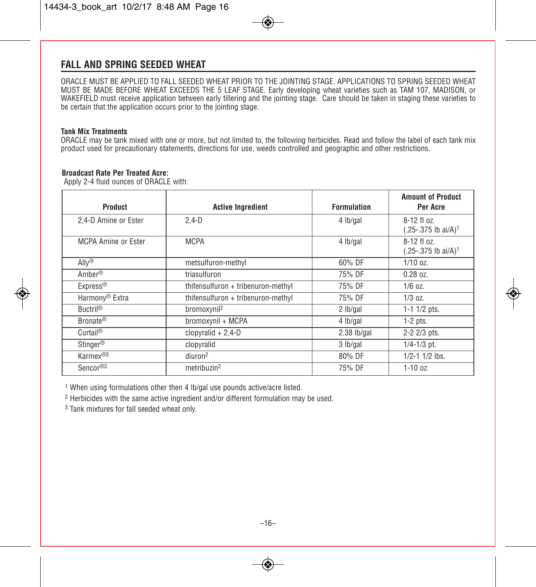14434-3\_book\_art 10/2/17 8:48 AM Page 16

# **FALL AND SPRING SEEDED WHEAT**

ORACLE MUST BE APPLIED TO FALL SEEDED WHEAT PRIOR TO THE JOINTING STAGE. APPLICATIONS TO SPRING SEEDED WHEAT MUST BE MADE BEFORE WHEAT EXCEEDS THE 5 LEAF STAGE. Early developing wheat varieties such as TAM 107, MADISON, or WAKEFIELD must receive application between early tillering and the jointing stage. Care should be taken in staging these varieties to be certain that the application occurs prior to the jointing stage.

## **Tank Mix Treatments**

ORACLE may be tank mixed with one or more, but not limited to, the following herbicides. Read and follow the label of each tank mix product used for precautionary statements, directions for use, weeds controlled and geographic and other restrictions.

## **Broadcast Rate Per Treated Acre:**

Apply 2-4 fluid ounces of ORACLE with:

| Product                    | <b>Active Ingredient</b>           | <b>Formulation</b> | <b>Amount of Product</b><br>Per Acre                  |
|----------------------------|------------------------------------|--------------------|-------------------------------------------------------|
| 2.4-D Amine or Ester       | $2.4-D$                            | 4 lb/gal           | $8-12$ fl $0z$ .<br>$(.25-.375$ lb ai/A) <sup>1</sup> |
| <b>MCPA Amine or Ester</b> | <b>MCPA</b>                        | 4 lb/gal           | $8-12$ fl $0z$ .<br>(.25-.375 lb ai/A) <sup>1</sup>   |
| Allv <sup>®</sup>          | metsulfuron-methyl                 | $60\%$ DF          | $1/10$ oz.                                            |
| Amber <sup>®</sup>         | triasulfuron                       | 75% DF             | $0.28$ oz.                                            |
| Express <sup>®</sup>       | thifensulfuron + tribenuron-methyl | 75% DF             | $1/6$ oz.                                             |
| Harmony <sup>®</sup> Extra | thifensulfuron + tribenuron-methyl | 75% DF             | $1/3$ oz.                                             |
| <b>Buctril®</b>            | bromoxynil <sup>2</sup>            | 2 lb/gal           | $1-1$ $1/2$ pts.                                      |
| Bronate®                   | bromoxynil + MCPA                  | 4 lb/gal           | $1-2$ pts.                                            |
| Curtail <sup>®</sup>       | clopyralid $+ 2,4-D$               | $2.38$ lb/gal      | 2-2 2/3 pts.                                          |
| Stinger <sup>®</sup>       | clopyralid                         | 3 lb/gal           | $1/4 - 1/3$ pt.                                       |
| Karmex <sup>®3</sup>       | diuron <sup>2</sup>                | 80% DF             | $1/2 - 1$ $1/2$ lbs.                                  |
| Sencor®3                   | metribuzin <sup>2</sup>            | 75% DF             | $1-10$ oz.                                            |

1 When using formulations other then 4 lb/gal use pounds active/acre listed.

2 Herbicides with the same active ingredient and/or different formulation may be used.

3 Tank mixtures for fall seeded wheat only.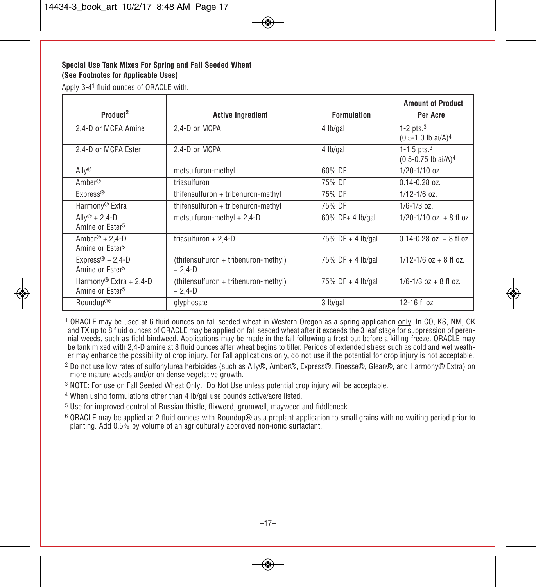# **Special Use Tank Mixes For Spring and Fall Seeded Wheat (See Footnotes for Applicable Uses)**

Apply 3-41 fluid ounces of ORACLE with:

| Product <sup>2</sup>                                              | <b>Active Ingredient</b>                           | <b>Formulation</b>   | <b>Amount of Product</b><br>Per Acre                   |
|-------------------------------------------------------------------|----------------------------------------------------|----------------------|--------------------------------------------------------|
| 2,4-D or MCPA Amine                                               | 2.4-D or MCPA                                      | 4 lb/gal             | $1-2$ pts. $3$<br>$(0.5-1.0$ lb ai/A) <sup>4</sup>     |
| 2,4-D or MCPA Ester                                               | 2,4-D or MCPA                                      | 4 lb/gal             | 1-1.5 pts. $3$<br>$(0.5 - 0.75)$ lb ai/A) <sup>4</sup> |
| Allv <sup>®</sup>                                                 | metsulfuron-methyl                                 | 60% DF               | 1/20-1/10 oz.                                          |
| Amber <sup>®</sup>                                                | triasulfuron                                       | 75% DF               | $0.14 - 0.28$ oz.                                      |
| Express <sup>®</sup>                                              | thifensulfuron + tribenuron-methyl                 | 75% DF               | $1/12 - 1/6$ oz.                                       |
| Harmony <sup>®</sup> Extra                                        | thifensulfuron + tribenuron-methyl                 | 75% DF               | $1/6 - 1/3$ oz.                                        |
| Ally <sup>®</sup> + 2,4-D<br>Amine or Ester <sup>5</sup>          | metsulfuron-methyl + 2,4-D                         | $60\%$ DF+ 4 lb/gal  | $1/20 - 1/10$ oz. $+ 8$ fl oz.                         |
| Amber <sup>®</sup> + 2.4-D<br>Amine or Ester <sup>5</sup>         | triasulfuron $+ 2.4 - D$                           | 75% DF $+$ 4 lb/gal  | $0.14 - 0.28$ $0z + 8$ fl $0z$ .                       |
| Express <sup>®</sup> + 2,4-D<br>Amine or Ester <sup>5</sup>       | (thifensulfuron + tribenuron-methyl)<br>$+2.4 - D$ | 75% DF + 4 lb/gal    | $1/12 - 1/6$ oz + 8 fl oz.                             |
| Harmony <sup>®</sup> Extra + 2,4-D<br>Amine or Ester <sup>5</sup> | (thifensulfuron + tribenuron-methyl)<br>$+2.4-D$   | 75% DF + 4 $lb$ /gal | $1/6 - 1/3$ oz + 8 fl oz.                              |
| Roundup <sup>®6</sup>                                             | glyphosate                                         | 3 lb/gal             | 12-16 fl oz.                                           |

<sup>1</sup> ORACLE may be used at 6 fluid ounces on fall seeded wheat in Western Oregon as a spring application only. In CO, KS, NM, OK and TX up to 8 fluid ounces of ORACLE may be applied on fall seeded wheat after it exceeds the 3 leaf stage for suppression of perennial weeds, such as field bindweed. Applications may be made in the fall following a frost but before a killing freeze. ORACLE may be tank mixed with 2,4-D amine at 8 fluid ounces after wheat begins to tiller. Periods of extended stress such as cold and wet weather may enhance the possibility of crop injury. For Fall applications only, do not use if the potential for crop injury is not acceptable.

2 Do not use low rates of sulfonylurea herbicides (such as Ally®, Amber®, Express®, Finesse®, Glean®, and Harmony® Extra) on more mature weeds and/or on dense vegetative growth.

3 NOTE: For use on Fall Seeded Wheat Only. Do Not Use unless potential crop injury will be acceptable.

4 When using formulations other than 4 lb/gal use pounds active/acre listed.

5 Use for improved control of Russian thistle, flixweed, gromwell, mayweed and fiddleneck.

6 ORACLE may be applied at 2 fluid ounces with Roundup® as a preplant application to small grains with no waiting period prior to planting. Add 0.5% by volume of an agriculturally approved non-ionic surfactant.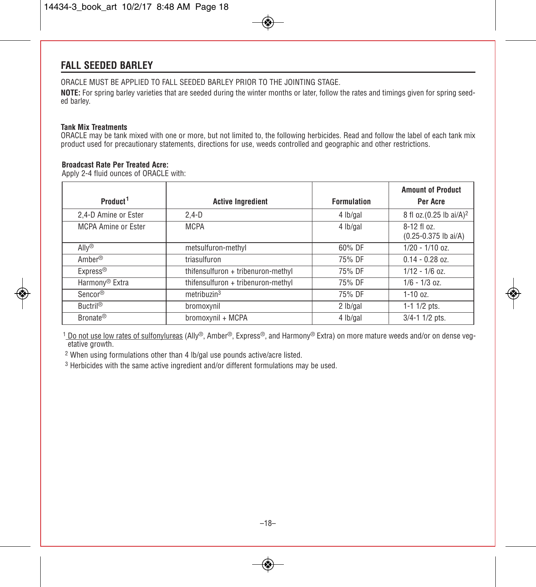# **FALL SEEDED BARLEY**

ORACLE MUST BE APPLIED TO FALL SEEDED BARLEY PRIOR TO THE JOINTING STAGE.

**NOTE:** For spring barley varieties that are seeded during the winter months or later, follow the rates and timings given for spring seeded barley.

# **Tank Mix Treatments**

ORACLE may be tank mixed with one or more, but not limited to, the following herbicides. Read and follow the label of each tank mix product used for precautionary statements, directions for use, weeds controlled and geographic and other restrictions.

# **Broadcast Rate Per Treated Acre:**

Apply 2-4 fluid ounces of ORACLE with:

|                            |                                    |                    | <b>Amount of Product</b>                     |
|----------------------------|------------------------------------|--------------------|----------------------------------------------|
| Product <sup>1</sup>       | <b>Active Ingredient</b>           | <b>Formulation</b> | Per Acre                                     |
| 2,4-D Amine or Ester       | $2.4-D$                            | 4 lb/gal           | 8 fl oz. (0.25 lb ai/A) <sup>2</sup>         |
| <b>MCPA Amine or Ester</b> | <b>MCPA</b>                        | 4 lb/gal           | $8-12$ fl $0z$ .<br>$(0.25 - 0.375$ lb ai/A) |
| $Allv^{\circledR}$         | metsulfuron-methyl                 | 60% DF             | $1/20 - 1/10$ oz.                            |
| Amber <sup>®</sup>         | triasulfuron                       | 75% DF             | $0.14 - 0.28$ oz.                            |
| Express <sup>®</sup>       | thifensulfuron + tribenuron-methyl | 75% DF             | $1/12 - 1/6$ oz.                             |
| Harmony <sup>®</sup> Extra | thifensulfuron + tribenuron-methyl | 75% DF             | $1/6 - 1/3$ oz.                              |
| Sencor <sup>®</sup>        | metribuzin <sup>3</sup>            | 75% DF             | $1 - 10$ oz.                                 |
| <b>Buctril®</b>            | bromoxynil                         | 2 lb/gal           | $1-1$ $1/2$ pts.                             |
| <b>Bronate®</b>            | bromoxynil + MCPA                  | 4 lb/gal           | $3/4 - 1$ 1/2 pts.                           |

1 Do not use low rates of sulfonylureas (Ally®, Amber®, Express®, and Harmony® Extra) on more mature weeds and/or on dense vegetative growth.

2 When using formulations other than 4 lb/gal use pounds active/acre listed.

<sup>3</sup> Herbicides with the same active ingredient and/or different formulations may be used.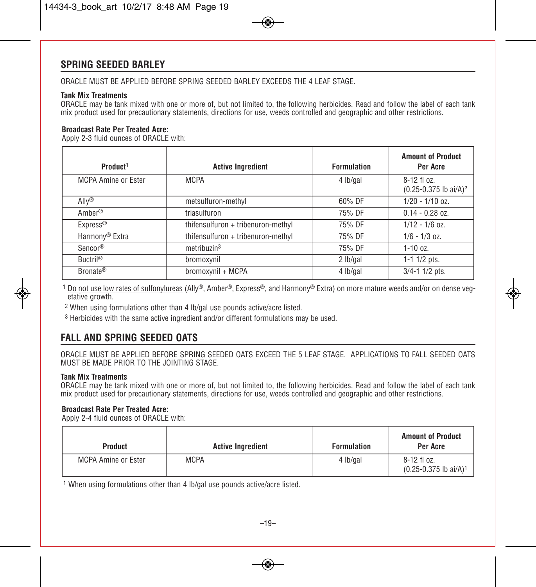# **SPRING SEEDED BARLEY**

ORACLE MUST BE APPLIED BEFORE SPRING SEEDED BARLEY EXCEEDS THE 4 LEAF STAGE.

### **Tank Mix Treatments**

ORACLE may be tank mixed with one or more of, but not limited to, the following herbicides. Read and follow the label of each tank mix product used for precautionary statements, directions for use, weeds controlled and geographic and other restrictions.

# **Broadcast Rate Per Treated Acre:**

Apply 2-3 fluid ounces of ORACLE with:

| Product <sup>1</sup>        | <b>Active Ingredient</b>           | <b>Formulation</b> | <b>Amount of Product</b><br>Per Acre                  |
|-----------------------------|------------------------------------|--------------------|-------------------------------------------------------|
| <b>MCPA Amine or Ester</b>  | MCPA                               | 4 lb/gal           | $8-12$ fl $0z$ .<br>(0.25-0.375 lb ai/A) <sup>2</sup> |
| $\mathsf{Allv}^{\circledR}$ | metsulfuron-methyl                 | 60% DF             | $1/20 - 1/10$ oz.                                     |
| Amber®                      | triasulfuron                       | 75% DF             | $0.14 - 0.28$ oz.                                     |
| Express <sup>®</sup>        | thifensulfuron + tribenuron-methyl | 75% DF             | $1/12 - 1/6$ oz.                                      |
| Harmony <sup>®</sup> Extra  | thifensulfuron + tribenuron-methyl | 75% DF             | $1/6 - 1/3$ oz.                                       |
| Sencor <sup>®</sup>         | metribuzin <sup>3</sup>            | 75% DF             | $1-10$ oz.                                            |
| <b>Buctril®</b>             | bromoxynil                         | 2 lb/gal           | $1-1$ $1/2$ pts.                                      |
| <b>Bronate®</b>             | bromoxynil + MCPA                  | 4 lb/gal           | $3/4 - 1$ 1/2 pts.                                    |

<sup>1</sup> Do not use low rates of sulfonylureas (Ally®, Amber®, Express®, and Harmony® Extra) on more mature weeds and/or on dense vegetative growth.

2 When using formulations other than 4 lb/gal use pounds active/acre listed.

3 Herbicides with the same active ingredient and/or different formulations may be used.

# **FALL AND SPRING SEEDED OATS**

ORACLE MUST BE APPLIED BEFORE SPRING SEEDED OATS EXCEED THE 5 LEAF STAGE. APPLICATIONS TO FALL SEEDED OATS MUST BE MADE PRIOR TO THE JOINTING STAGE.

# **Tank Mix Treatments**

ORACLE may be tank mixed with one or more of, but not limited to, the following herbicides. Read and follow the label of each tank mix product used for precautionary statements, directions for use, weeds controlled and geographic and other restrictions.

# **Broadcast Rate Per Treated Acre:**

Apply 2-4 fluid ounces of ORACLE with:

| <b>Product</b>             | <b>Active Ingredient</b> | <b>Formulation</b> | <b>Amount of Product</b><br>Per Acre                      |
|----------------------------|--------------------------|--------------------|-----------------------------------------------------------|
| <b>MCPA Amine or Ester</b> | <b>MCPA</b>              | 4 lb/gal           | $8-12$ fl $0z$ .<br>$(0.25 - 0.375$ lb ai/A) <sup>1</sup> |

1 When using formulations other than 4 lb/gal use pounds active/acre listed.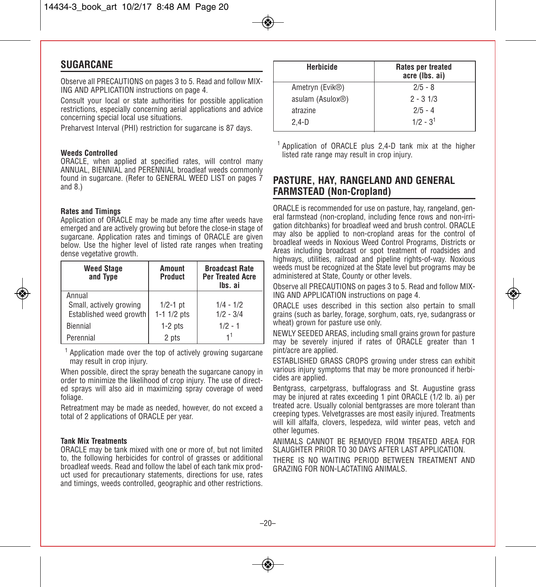# **SUGARCANE**

Observe all PRECAUTIONS on pages 3 to 5. Read and follow MIX-ING AND APPLICATION instructions on page 4.

Consult your local or state authorities for possible application restrictions, especially concerning aerial applications and advice concerning special local use situations.

Preharvest Interval (PHI) restriction for sugarcane is 87 days.

## **Weeds Controlled**

ORACLE, when applied at specified rates, will control many ANNUAL, BIENNIAL and PERENNIAL broadleaf weeds commonly found in sugarcane. (Refer to GENERAL WEED LIST on pages 7 and 8.)

#### **Rates and Timings**

Application of ORACLE may be made any time after weeds have emerged and are actively growing but before the close-in stage of sugarcane. Application rates and timings of ORACLE are given below. Use the higher level of listed rate ranges when treating dense vegetative growth.

| <b>Weed Stage</b><br>and Type | Amount<br>Product | <b>Broadcast Rate</b><br><b>Per Treated Acre</b><br>lbs. ai |
|-------------------------------|-------------------|-------------------------------------------------------------|
| Annual                        |                   |                                                             |
| Small, actively growing       | $1/2-1$ pt        | $1/4 - 1/2$                                                 |
| Established weed growth       | $1-1$ $1/2$ pts   | $1/2 - 3/4$                                                 |
| Biennial                      | $1-2$ pts         | $1/2 - 1$                                                   |
| Perennial                     | 2 pts             |                                                             |

<sup>1</sup> Application made over the top of actively growing sugarcane may result in crop injury.

When possible, direct the spray beneath the sugarcane canopy in order to minimize the likelihood of crop injury. The use of directed sprays will also aid in maximizing spray coverage of weed foliage.

Retreatment may be made as needed, however, do not exceed a total of 2 applications of ORACLE per year.

# **Tank Mix Treatments**

ORACLE may be tank mixed with one or more of, but not limited to, the following herbicides for control of grasses or additional broadleaf weeds. Read and follow the label of each tank mix product used for precautionary statements, directions for use, rates and timings, weeds controlled, geographic and other restrictions.

| Herbicide                    | Rates per treated<br>acre (Ibs. ai) |  |
|------------------------------|-------------------------------------|--|
| Ametryn (Evik <sup>®</sup> ) | $2/5 - 8$                           |  |
| asulam (Asulox <sup>®)</sup> | $2 - 31/3$                          |  |
| atrazine                     | $2/5 - 4$                           |  |
| $2.4-D$                      | $1/2 - 31$                          |  |

<sup>1</sup> Application of ORACLE plus 2,4-D tank mix at the higher listed rate range may result in crop injury.

# **PASTURE, HAY, RANGELAND AND GENERAL FARMSTEAD (Non-Cropland)**

ORACLE is recommended for use on pasture, hay, rangeland, general farmstead (non-cropland, including fence rows and non-irrigation ditchbanks) for broadleaf weed and brush control. ORACLE may also be applied to non-cropland areas for the control of broadleaf weeds in Noxious Weed Control Programs, Districts or Areas including broadcast or spot treatment of roadsides and highways, utilities, railroad and pipeline rights-of-way. Noxious weeds must be recognized at the State level but programs may be administered at State, County or other levels.

Observe all PRECAUTIONS on pages 3 to 5. Read and follow MIX-ING AND APPLICATION instructions on page 4.

ORACLE uses described in this section also pertain to small grains (such as barley, forage, sorghum, oats, rye, sudangrass or wheat) grown for pasture use only.

NEWLY SEEDED AREAS, including small grains grown for pasture may be severely injured if rates of ORACLE greater than 1 pint/acre are applied.

ESTABLISHED GRASS CROPS growing under stress can exhibit various injury symptoms that may be more pronounced if herbicides are applied.

Bentgrass, carpetgrass, buffalograss and St. Augustine grass may be injured at rates exceeding 1 pint ORACLE (1/2 lb. ai) per treated acre. Usually colonial bentgrasses are more tolerant than creeping types. Velvetgrasses are most easily injured. Treatments will kill alfalfa, clovers, lespedeza, wild winter peas, vetch and other legumes.

ANIMALS CANNOT BE REMOVED FROM TREATED AREA FOR SLAUGHTER PRIOR TO 30 DAYS AFTER LAST APPLICATION. THERE IS NO WAITING PERIOD BETWEEN TREATMENT AND GRAZING FOR NON-LACTATING ANIMALS.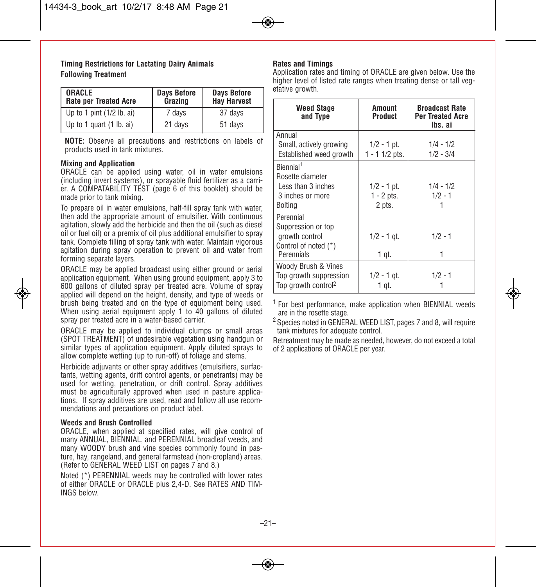# **Timing Restrictions for Lactating Dairy Animals Following Treatment**

| <b>ORACLE</b><br><b>Rate per Treated Acre</b> | <b>Days Before</b><br>Grazing | <b>Days Before</b><br><b>Hay Harvest</b> |
|-----------------------------------------------|-------------------------------|------------------------------------------|
| Up to 1 pint $(1/2$ lb. ai)                   | 7 days                        | 37 days                                  |
| Up to 1 quart $(1$ lb. ai)                    | 21 days                       | 51 days                                  |

**NOTE:** Observe all precautions and restrictions on labels of products used in tank mixtures.

### **Mixing and Application**

ORACLE can be applied using water, oil in water emulsions (including invert systems), or sprayable fluid fertilizer as a carrier. A COMPATABILITY TEST (page 6 of this booklet) should be made prior to tank mixing.

To prepare oil in water emulsions, half-fill spray tank with water, then add the appropriate amount of emulsifier. With continuous agitation, slowly add the herbicide and then the oil (such as diesel oil or fuel oil) or a premix of oil plus additional emulsifier to spray tank. Complete filling of spray tank with water. Maintain vigorous agitation during spray operation to prevent oil and water from forming separate layers.

ORACLE may be applied broadcast using either ground or aerial application equipment. When using ground equipment, apply 3 to 600 gallons of diluted spray per treated acre. Volume of spray applied will depend on the height, density, and type of weeds or brush being treated and on the type of equipment being used. When using aerial equipment apply 1 to 40 gallons of diluted spray per treated acre in a water-based carrier.

ORACLE may be applied to individual clumps or small areas (SPOT TREATMENT) of undesirable vegetation using handgun or similar types of application equipment. Apply diluted sprays to allow complete wetting (up to run-off) of foliage and stems.

Herbicide adjuvants or other spray additives (emulsifiers, surfactants, wetting agents, drift control agents, or penetrants) may be used for wetting, penetration, or drift control. Spray additives must be agriculturally approved when used in pasture applications. If spray additives are used, read and follow all use recommendations and precautions on product label.

#### **Weeds and Brush Controlled**

ORACLE, when applied at specified rates, will give control of many ANNUAL, BIENNIAL, and PERENNIAL broadleaf weeds, and many WOODY brush and vine species commonly found in pasture, hay, rangeland, and general farmstead (non-cropland) areas. (Refer to GENERAL WEED LIST on pages 7 and 8.)

Noted (\*) PERENNIAL weeds may be controlled with lower rates of either ORACLE or ORACLE plus 2,4-D. See RATES AND TIM-INGS below.

#### **Rates and Timings**

Application rates and timing of ORACLE are given below. Use the higher level of listed rate ranges when treating dense or tall vegetative growth.

| Weed Stage<br>and Type                                                                         | Amount<br>Product                       | <b>Broadcast Rate</b><br><b>Per Treated Acre</b><br>lbs. ai |
|------------------------------------------------------------------------------------------------|-----------------------------------------|-------------------------------------------------------------|
| Annual<br>Small, actively growing<br>Established weed growth                                   | $1/2 - 1$ pt.<br>$1 - 11/2$ pts.        | $1/4 - 1/2$<br>$1/2 - 3/4$                                  |
| Biennial <sup>1</sup><br>Rosette diameter<br>Less than 3 inches<br>3 inches or more<br>Bolting | $1/2 - 1$ pt.<br>$1 - 2$ pts.<br>2 pts. | $1/4 - 1/2$<br>$1/2 - 1$                                    |
| Perennial<br>Suppression or top<br>growth control<br>Control of noted (*)<br>Perennials        | $1/2 - 1$ gt.<br>1 qt.                  | $1/2 - 1$                                                   |
| Woody Brush & Vines<br>Top growth suppression<br>Top growth control <sup>2</sup>               | $1/2 - 1$ gt.<br>1 qt.                  | $1/2 - 1$                                                   |

<sup>1</sup> For best performance, make application when BIENNIAL weeds are in the rosette stage.

<sup>2</sup> Species noted in GENERAL WEED LIST, pages 7 and 8, will require tank mixtures for adequate control.

Retreatment may be made as needed, however, do not exceed a total of 2 applications of ORACLE per year.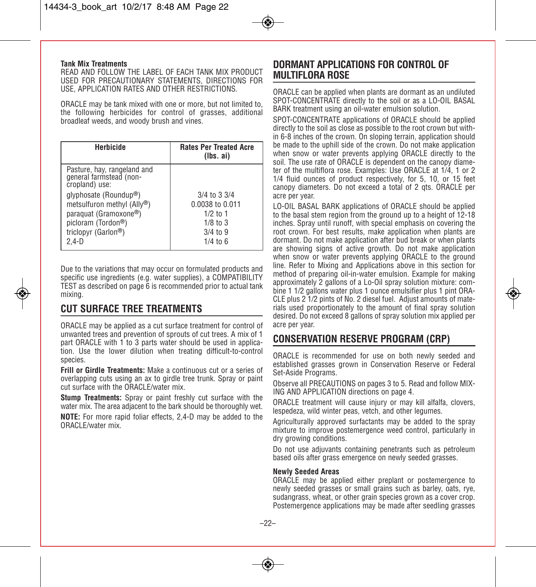# **Tank Mix Treatments**

READ AND FOLLOW THE LABEL OF EACH TANK MIX PRODUCT USED FOR PRECAUTIONARY STATEMENTS, DIRECTIONS FOR USE, APPLICATION RATES AND OTHER RESTRICTIONS.

ORACLE may be tank mixed with one or more, but not limited to, the following herbicides for control of grasses, additional broadleaf weeds, and woody brush and vines.

| Herbicide                                                                                                                                                      | <b>Rates Per Treated Acre</b><br>(Ibs. ai)                                                         |
|----------------------------------------------------------------------------------------------------------------------------------------------------------------|----------------------------------------------------------------------------------------------------|
| Pasture, hay, rangeland and<br>general farmstead (non-<br>cropland) use:                                                                                       |                                                                                                    |
| glyphosate (Roundup <sup>®</sup> )<br>metsulfuron methyl (Ally®)<br>paraquat (Gramoxone®)<br>picloram (Tordon®)<br>triclopyr (Garlon <sup>®</sup> )<br>$2.4-D$ | $3/4$ to $3\frac{3}{4}$<br>0.0038 to 0.011<br>$1/2$ to 1<br>$1/8$ to 3<br>$3/4$ to 9<br>$1/4$ to 6 |

Due to the variations that may occur on formulated products and specific use ingredients (e.g. water supplies), a COMPATIBILITY TEST as described on page 6 is recommended prior to actual tank mixing.

# **CUT SURFACE TREE TREATMENTS**

ORACLE may be applied as a cut surface treatment for control of unwanted trees and prevention of sprouts of cut trees. A mix of 1 part ORACLE with 1 to 3 parts water should be used in application. Use the lower dilution when treating difficult-to-control species.

**Frill or Girdle Treatments:** Make a continuous cut or a series of overlapping cuts using an ax to girdle tree trunk. Spray or paint cut surface with the ORACLE/water mix.

**Stump Treatments:** Spray or paint freshly cut surface with the water mix. The area adjacent to the bark should be thoroughly wet.

**NOTE:** For more rapid foliar effects, 2,4-D may be added to the ORACLE/water mix.

# **DORMANT APPLICATIONS FOR CONTROL OF MULTIFLORA ROSE**

ORACLE can be applied when plants are dormant as an undiluted SPOT-CONCENTRATE directly to the soil or as a LO-OIL BASAL BARK treatment using an oil-water emulsion solution.

SPOT-CONCENTRATE applications of ORACLE should be applied directly to the soil as close as possible to the root crown but within 6-8 inches of the crown. On sloping terrain, application should be made to the uphill side of the crown. Do not make application when snow or water prevents applying ORACLE directly to the soil. The use rate of ORACLE is dependent on the canopy diameter of the multiflora rose. Examples: Use ORACLE at 1/4, 1 or 2 1/4 fluid ounces of product respectively, for 5, 10, or 15 feet canopy diameters. Do not exceed a total of 2 qts. ORACLE per acre per year.

LO-OIL BASAL BARK applications of ORACLE should be applied to the basal stem region from the ground up to a height of 12-18 inches. Spray until runoff, with special emphasis on covering the root crown. For best results, make application when plants are dormant. Do not make application after bud break or when plants are showing signs of active growth. Do not make application when snow or water prevents applying ORACLE to the ground line. Refer to Mixing and Applications above in this section for method of preparing oil-in-water emulsion. Example for making approximately 2 gallons of a Lo-Oil spray solution mixture: combine 1 1/2 gallons water plus 1 ounce emulsifier plus 1 pint ORA-CLE plus 2 1/2 pints of No. 2 diesel fuel. Adjust amounts of materials used proportionately to the amount of final spray solution desired. Do not exceed 8 gallons of spray solution mix applied per acre per year.

# **CONSERVATION RESERVE PROGRAM (CRP)**

ORACLE is recommended for use on both newly seeded and established grasses grown in Conservation Reserve or Federal Set-Aside Programs.

Observe all PRECAUTIONS on pages 3 to 5. Read and follow MIX-ING AND APPLICATION directions on page 4.

ORACLE treatment will cause injury or may kill alfalfa, clovers, lespedeza, wild winter peas, vetch, and other legumes.

Agriculturally approved surfactants may be added to the spray mixture to improve postemergence weed control, particularly in dry growing conditions.

Do not use adjuvants containing penetrants such as petroleum based oils after grass emergence on newly seeded grasses.

#### **Newly Seeded Areas**

ORACLE may be applied either preplant or postemergence to newly seeded grasses or small grains such as barley, oats, rye, sudangrass, wheat, or other grain species grown as a cover crop. Postemergence applications may be made after seedling grasses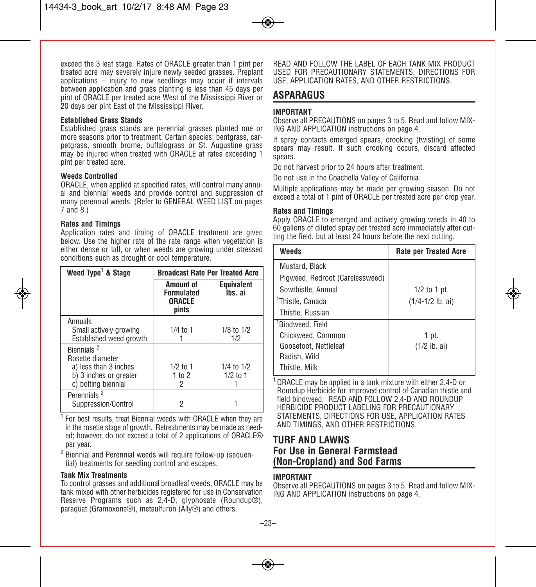

# **Established Grass Stands**

Established grass stands are perennial grasses planted one or more seasons prior to treatment. Certain species: bentgrass, carpetgrass, smooth brome, buffalograss or St. Augustine grass may be injured when treated with ORACLE at rates exceeding 1 pint per treated acre.

# **Weeds Controlled**

ORACLE, when applied at specified rates, will control many annual and biennial weeds and provide control and suppression of many perennial weeds. (Refer to GENERAL WEED LIST on pages 7 and 8.)

# **Rates and Timings**

Application rates and timing of ORACLE treatment are given below. Use the higher rate of the rate range when vegetation is either dense or tall, or when weeds are growing under stressed conditions such as drought or cool temperature.

| Weed Type <sup>1</sup> & Stage                                                                                       | <b>Broadcast Rate Per Treated Acre</b>     |                              |
|----------------------------------------------------------------------------------------------------------------------|--------------------------------------------|------------------------------|
|                                                                                                                      | Amount of<br>Formulated<br>ORACLE<br>pints | <b>Equivalent</b><br>lbs. ai |
| Annuals<br>Small actively growing<br>Established weed growth                                                         | $1/4$ to 1                                 | $1/8$ to $1/2$<br>1/2        |
| Biennials <sup>2</sup><br>Rosette diameter<br>a) less than 3 inches<br>b) 3 inches or greater<br>c) bolting biennial | $1/2$ to 1<br>1 to 2<br>2                  | 1/4 to 1/2<br>$1/2$ to 1     |
| Perennials <sup>2</sup><br>Suppression/Control                                                                       | 2                                          |                              |

<sup>1</sup> For best results, treat Biennial weeds with ORACLE when they are in the rosette stage of growth. Retreatments may be made as needed; however, do not exceed a total of 2 applications of ORACLE® per year.

<sup>2</sup> Biennial and Perennial weeds will require follow-up (sequential) treatments for seedling control and escapes.

#### **Tank Mix Treatments**

To control grasses and additional broadleaf weeds, ORACLE may be tank mixed with other herbicides registered for use in Conservation Reserve Programs such as 2,4-D, glyphosate (Roundup®), paraquat (Gramoxone®), metsulfuron (Ally®) and others.

READ AND FOLLOW THE LABEL OF EACH TANK MIX PRODUCT USED FOR PRECAUTIONARY STATEMENTS, DIRECTIONS FOR USE, APPLICATION RATES, AND OTHER RESTRICTIONS.

# **ASPARAGUS**

### **IMPORTANT**

Observe all PRECAUTIONS on pages 3 to 5. Read and follow MIX-ING AND APPLICATION instructions on page 4.

If spray contacts emerged spears, crooking (twisting) of some spears may result. If such crooking occurs, discard affected spears.

Do not harvest prior to 24 hours after treatment.

Do not use in the Coachella Valley of California.

Multiple applications may be made per growing season. Do not exceed a total of 1 pint of ORACLE per treated acre per crop year.

#### **Rates and Timings**

Apply ORACLE to emerged and actively growing weeds in 40 to 60 gallons of diluted spray per treated acre immediately after cutting the field, but at least 24 hours before the next cutting.

| Weeds                           | <b>Rate per Treated Acre</b> |
|---------------------------------|------------------------------|
| Mustard, Black                  |                              |
| Pigweed, Redroot (Carelessweed) |                              |
| Sowthistle, Annual              | $1/2$ to 1 pt.               |
| <sup>1</sup> Thistle, Canada    | $(1/4-1/2$ lb. ai)           |
| Thistle, Russian                |                              |
| <sup>1</sup> Bindweed, Field    |                              |
| Chickweed, Common               | 1 pt.                        |
| Goosefoot, Nettleleaf           | $(1/2$ lb. ai)               |
| Radish, Wild                    |                              |
| Thistle, Milk                   |                              |

<sup>1</sup> ORACLE may be applied in a tank mixture with either 2,4-D or Roundup Herbicide for improved control of Canadian thistle and field bindweed. READ AND FOLLOW 2,4-D AND ROUNDUP HERBICIDE PRODUCT LABELING FOR PRECAUTIONARY STATEMENTS, DIRECTIONS FOR USE, APPLICATION RATES AND TIMINGS, AND OTHER RESTRICTIONS.

# **TURF AND LAWNS For Use in General Farmstead (Non-Cropland) and Sod Farms**

#### **IMPORTANT**

Observe all PRECAUTIONS on pages 3 to 5. Read and follow MIX-ING AND APPLICATION instructions on page 4.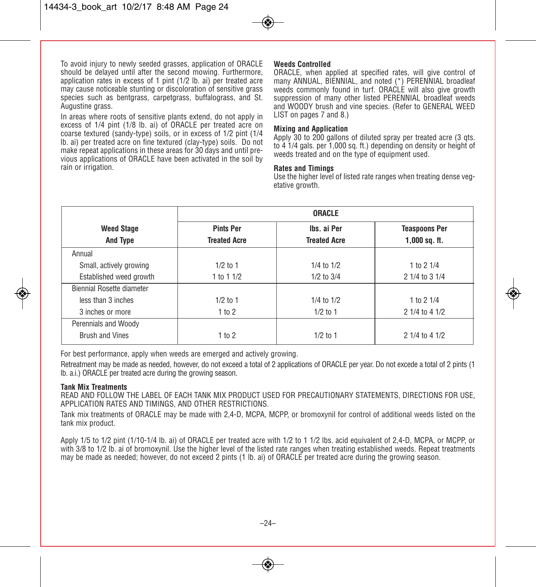

To avoid injury to newly seeded grasses, application of ORACLE should be delayed until after the second mowing. Furthermore, application rates in excess of 1 pint (1/2 lb. ai) per treated acre may cause noticeable stunting or discoloration of sensitive grass species such as bentgrass, carpetgrass, buffalograss, and St. Augustine grass.

In areas where roots of sensitive plants extend, do not apply in excess of 1/4 pint (1/8 lb. ai) of ORACLE per treated acre on coarse textured (sandy-type) soils, or in excess of 1/2 pint (1/4 lb. ai) per treated acre on fine textured (clay-type) soils. Do not make repeat applications in these areas for 30 days and until previous applications of ORACLE have been activated in the soil by rain or irrigation.

# **Weeds Controlled**

ORACLE, when applied at specified rates, will give control of many ANNUAL, BIENNIAL, and noted (\*) PERENNIAL broadleaf weeds commonly found in turf. ORACLE will also give growth suppression of many other listed PERENNIAL broadleaf weeds and WOODY brush and vine species. (Refer to GENERAL WEED LIST on pages 7 and 8.)

# **Mixing and Application**

Apply 30 to 200 gallons of diluted spray per treated acre (3 qts. to 4 1/4 gals. per 1,000 sq. ft.) depending on density or height of weeds treated and on the type of equipment used.

# **Rates and Timings**

Use the higher level of listed rate ranges when treating dense vegetative growth.

|                                  | ORACLE              |                     |                      |
|----------------------------------|---------------------|---------------------|----------------------|
| <b>Weed Stage</b>                | <b>Pints Per</b>    | Ibs. ai Per         | <b>Teaspoons Per</b> |
| <b>And Type</b>                  | <b>Treated Acre</b> | <b>Treated Acre</b> | $1,000$ sq. ft.      |
| Annual                           |                     |                     |                      |
| Small, actively growing          | $1/2$ to 1          | $1/4$ to $1/2$      | 1 to $21/4$          |
| Established weed growth          | 1 to 1 $1/2$        | $1/2$ to $3/4$      | 2 1/4 to 3 1/4       |
| <b>Biennial Rosette diameter</b> |                     |                     |                      |
| less than 3 inches               | $1/2$ to 1          | $1/4$ to $1/2$      | 1 to $21/4$          |
| 3 inches or more                 | 1 to 2              | $1/2$ to 1          | 2 1/4 to 4 1/2       |
| Perennials and Woody             |                     |                     |                      |
| <b>Brush and Vines</b>           | 1 to 2              | $1/2$ to 1          | 2 1/4 to 4 1/2       |

For best performance, apply when weeds are emerged and actively growing.

Retreatment may be made as needed, however, do not exceed a total of 2 applications of ORACLE per year. Do not excede a total of 2 pints (1 lb. a.i.) ORACLE per treated acre during the growing season.

# **Tank Mix Treatments**

READ AND FOLLOW THE LABEL OF EACH TANK MIX PRODUCT USED FOR PRECAUTIONARY STATEMENTS, DIRECTIONS FOR USE, APPLICATION RATES AND TIMINGS, AND OTHER RESTRICTIONS.

Tank mix treatments of ORACLE may be made with 2,4-D, MCPA, MCPP, or bromoxynil for control of additional weeds listed on the tank mix product.

Apply 1/5 to 1/2 pint (1/10-1/4 lb. ai) of ORACLE per treated acre with 1/2 to 1 1/2 lbs. acid equivalent of 2,4-D, MCPA, or MCPP, or with 3/8 to 1/2 lb. ai of bromoxynil. Use the higher level of the listed rate ranges when treating established weeds. Repeat treatments may be made as needed; however, do not exceed 2 pints (1 lb. ai) of ORACLE per treated acre during the growing season.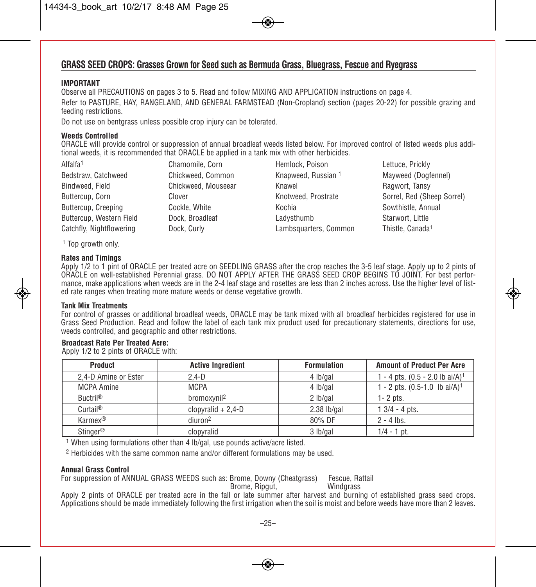# **GRASS SEED CROPS: Grasses Grown for Seed such as Bermuda Grass, Bluegrass, Fescue and Ryegrass**

## **IMPORTANT**

Observe all PRECAUTIONS on pages 3 to 5. Read and follow MIXING AND APPLICATION instructions on page 4.

Refer to PASTURE, HAY, RANGELAND, AND GENERAL FARMSTEAD (Non-Cropland) section (pages 20-22) for possible grazing and feeding restrictions.

Do not use on bentgrass unless possible crop injury can be tolerated.

#### **Weeds Controlled**

ORACLE will provide control or suppression of annual broadleaf weeds listed below. For improved control of listed weeds plus additional weeds, it is recommended that ORACLE be applied in a tank mix with other herbicides.

| Alfalfa <sup>1</sup>     | Chamomile, Corn     | Hemlock, Poison                | Lettuce, Prickly             |
|--------------------------|---------------------|--------------------------------|------------------------------|
| Bedstraw, Catchweed      | Chickweed, Common   | Knapweed, Russian <sup>1</sup> | Mayweed (Dogfennel)          |
| Bindweed, Field          | Chickweed, Mouseear | Knawel                         | Ragwort, Tansy               |
| Buttercup, Corn          | Clover              | Knotweed, Prostrate            | Sorrel, Red (Sheep Sorrel)   |
| Buttercup, Creeping      | Cockle, White       | Kochia                         | Sowthistle, Annual           |
| Buttercup, Western Field | Dock. Broadleaf     | Ladvsthumb                     | Starwort, Little             |
| Catchfly, Nightflowering | Dock, Curly         | Lambsquarters, Common          | Thistle, Canada <sup>1</sup> |

1 Top growth only.

# **Rates and Timings**

Apply 1/2 to 1 pint of ORACLE per treated acre on SEEDLING GRASS after the crop reaches the 3-5 leaf stage. Apply up to 2 pints of ORACLE on well-established Perennial grass. DO NOT APPLY AFTER THE GRASS SEED CROP BEGINS TO JOINT. For best performance, make applications when weeds are in the 2-4 leaf stage and rosettes are less than 2 inches across. Use the higher level of listed rate ranges when treating more mature weeds or dense vegetative growth.

#### **Tank Mix Treatments**

For control of grasses or additional broadleaf weeds, ORACLE may be tank mixed with all broadleaf herbicides registered for use in Grass Seed Production. Read and follow the label of each tank mix product used for precautionary statements, directions for use, weeds controlled, and geographic and other restrictions.

# **Broadcast Rate Per Treated Acre:**

Apply 1/2 to 2 pints of ORACLE with:

| Product               | <b>Active Ingredient</b> | <b>Formulation</b> | <b>Amount of Product Per Acre</b>             |
|-----------------------|--------------------------|--------------------|-----------------------------------------------|
| 2.4-D Amine or Ester  | $2.4-D$                  | 4 lb/gal           | 1 - 4 pts. $(0.5 - 2.0$ lb ai/A) <sup>1</sup> |
| <b>MCPA Amine</b>     | <b>MCPA</b>              | 4 lb/gal           | 1 - 2 pts. $(0.5-1.0$ lb ai/A) <sup>1</sup>   |
| <b>Buctril®</b>       | bromoxynil <sup>2</sup>  | $2$ lb/gal         | $1 - 2$ pts.                                  |
| $Curtail^{\circledR}$ | $clopvralid + 2,4-D$     | $2.38$ lb/gal      | $13/4 - 4$ pts.                               |
| Karmex®               | diuron <sup>2</sup>      | 80% DF             | $2 - 4$ lbs.                                  |
| Stinger®              | clopyralid               | 3 lb/gal           | $1/4 - 1$ pt.                                 |

1 When using formulations other than 4 lb/gal, use pounds active/acre listed.

<sup>2</sup> Herbicides with the same common name and/or different formulations may be used.

### **Annual Grass Control**

For suppression of ANNUAL GRASS WEEDS such as: Brome, Downy (Cheatgrass) Fescue, Rattail

Brome, Ripgut, **Windgrass** 

Apply 2 pints of ORACLE per treated acre in the fall or late summer after harvest and burning of established grass seed crops. Applications should be made immediately following the first irrigation when the soil is moist and before weeds have more than 2 leaves.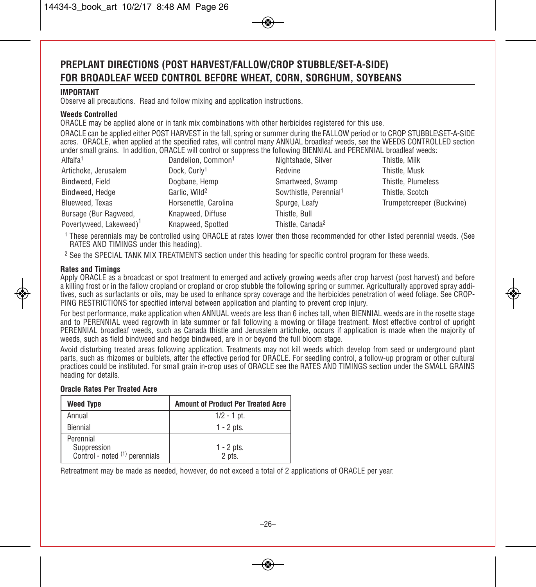# **PREPLANT DIRECTIONS (POST HARVEST/FALLOW/CROP STUBBLE/SET-A-SIDE) FOR BROADLEAF WEED CONTROL BEFORE WHEAT, CORN, SORGHUM, SOYBEANS**

# **IMPORTANT**

Observe all precautions. Read and follow mixing and application instructions.

# **Weeds Controlled**

ORACLE may be applied alone or in tank mix combinations with other herbicides registered for this use.

ORACLE can be applied either POST HARVEST in the fall, spring or summer during the FALLOW period or to CROP STUBBLE\SET-A-SIDE acres. ORACLE, when applied at the specified rates, will control many ANNUAL broadleaf weeds, see the WEEDS CONTROLLED section under small grains. In addition, ORACLE will control or suppress the following BIENNIAL and PERENNIAL broadleaf weeds:

| Alfalfa <sup>1</sup>   | Dandelion, Common <sup>1</sup> | Nightshade, Silver                 | Thistle, Milk             |
|------------------------|--------------------------------|------------------------------------|---------------------------|
| Artichoke, Jerusalem   | Dock, Curly <sup>1</sup>       | Redvine                            | Thistle, Musk             |
| Bindweed, Field        | Dogbane, Hemp                  | Smartweed, Swamp                   | Thistle, Plumeless        |
| Bindweed, Hedge        | Garlic. Wild <sup>2</sup>      | Sowthistle, Perennial <sup>1</sup> | Thistle, Scotch           |
| Blueweed, Texas        | Horsenettle, Carolina          | Spurge, Leafy                      | Trumpetcreeper (Buckvine) |
| Bursage (Bur Ragweed,  | Knapweed, Diffuse              | Thistle, Bull                      |                           |
| Povertyweed, Lakeweed) | Knapweed, Spotted              | Thistle, Canada <sup>2</sup>       |                           |

1 These perennials may be controlled using ORACLE at rates lower then those recommended for other listed perennial weeds. (See RATES AND TIMINGS under this heading).

<sup>2</sup> See the SPECIAL TANK MIX TREATMENTS section under this heading for specific control program for these weeds.

### **Rates and Timings**

Apply ORACLE as a broadcast or spot treatment to emerged and actively growing weeds after crop harvest (post harvest) and before a killing frost or in the fallow cropland or cropland or crop stubble the following spring or summer. Agriculturally approved spray additives, such as surfactants or oils, may be used to enhance spray coverage and the herbicides penetration of weed foliage. See CROP-PING RESTRICTIONS for specified interval between application and planting to prevent crop injury.

For best performance, make application when ANNUAL weeds are less than 6 inches tall, when BIENNIAL weeds are in the rosette stage and to PERENNIAL weed regrowth in late summer or fall following a mowing or tillage treatment. Most effective control of upright PERENNIAL broadleaf weeds, such as Canada thistle and Jerusalem artichoke, occurs if application is made when the majority of weeds, such as field bindweed and hedge bindweed, are in or beyond the full bloom stage.

Avoid disturbing treated areas following application. Treatments may not kill weeds which develop from seed or underground plant parts, such as rhizomes or bulblets, after the effective period for ORACLE. For seedling control, a follow-up program or other cultural practices could be instituted. For small grain in-crop uses of ORACLE see the RATES AND TIMINGS section under the SMALL GRAINS heading for details.

# **Oracle Rates Per Treated Acre**

| <b>Weed Type</b>                                           | <b>Amount of Product Per Treated Acre</b> |
|------------------------------------------------------------|-------------------------------------------|
| Annual                                                     | $1/2 - 1$ pt.                             |
| Biennial                                                   | $1 - 2$ pts.                              |
| Perennial<br>Suppression<br>Control - noted (1) perennials | $1 - 2$ pts.<br>2 pts.                    |

Retreatment may be made as needed, however, do not exceed a total of 2 applications of ORACLE per year.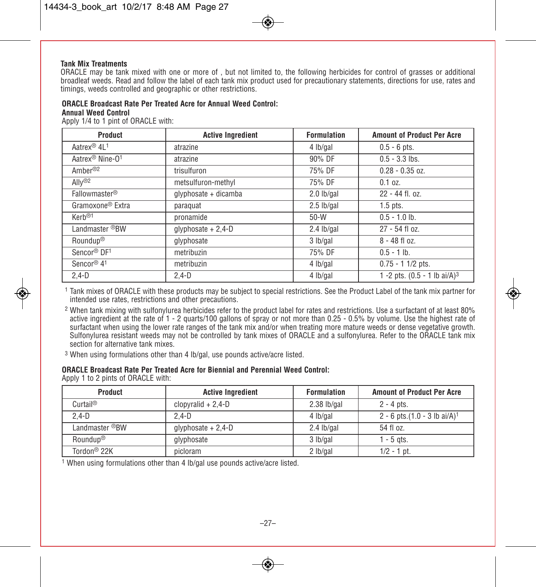ORACLE may be tank mixed with one or more of , but not limited to, the following herbicides for control of grasses or additional broadleaf weeds. Read and follow the label of each tank mix product used for precautionary statements, directions for use, rates and timings, weeds controlled and geographic or other restrictions.

# **ORACLE Broadcast Rate Per Treated Acre for Annual Weed Control:**

# **Annual Weed Control**

Apply 1/4 to 1 pint of ORACLE with:

| Product                                 | <b>Active Ingredient</b> | <b>Formulation</b> | <b>Amount of Product Per Acre</b>           |
|-----------------------------------------|--------------------------|--------------------|---------------------------------------------|
| Aatrex <sup>®</sup> 4L <sup>1</sup>     | atrazine                 | 4 lb/gal           | $0.5 - 6$ pts.                              |
| Aatrex <sup>®</sup> Nine-0 <sup>1</sup> | atrazine                 | 90% DF             | $0.5 - 3.3$ lbs.                            |
| Amber <sup>®2</sup>                     | trisulfuron              | 75% DF             | $0.28 - 0.35$ oz.                           |
| All $v^{\otimes 2}$                     | metsulfuron-methyl       | 75% DF             | 0.1 oz.                                     |
| Fallowmaster <sup>®</sup>               | glyphosate + dicamba     | $2.0$ lb/gal       | $22 - 44$ fl. oz.                           |
| Gramoxone <sup>®</sup> Extra            | paraquat                 | $2.5$ lb/gal       | $1.5$ pts.                                  |
| Kerb <sup>®1</sup>                      | pronamide                | $50-W$             | $0.5 - 1.0$ lb.                             |
| Landmaster <sup>®BW</sup>               | $q$ lyphosate + 2,4-D    | $2.4$ lb/gal       | $27 - 54$ fl oz.                            |
| Roundup®                                | glyphosate               | 3 lb/gal           | $8 - 48$ fl $0z$ .                          |
| Sencor <sup>®</sup> DF <sup>1</sup>     | metribuzin               | 75% DF             | $0.5 - 1$ lb.                               |
| Sencor <sup>®</sup> 41                  | metribuzin               | 4 lb/gal           | $0.75 - 11/2$ pts.                          |
| $2.4-D$                                 | $2.4-D$                  | $4$ lb/gal         | 1 -2 pts. $(0.5 - 1)$ lb ai/A) <sup>3</sup> |

1 Tank mixes of ORACLE with these products may be subject to special restrictions. See the Product Label of the tank mix partner for intended use rates, restrictions and other precautions.

2 When tank mixing with sulfonylurea herbicides refer to the product label for rates and restrictions. Use a surfactant of at least 80% active ingredient at the rate of 1 - 2 quarts/100 gallons of spray or not more than 0.25 - 0.5% by volume. Use the highest rate of surfactant when using the lower rate ranges of the tank mix and/or when treating more mature weeds or dense vegetative growth. Sulfonylurea resistant weeds may not be controlled by tank mixes of ORACLE and a sulfonylurea. Refer to the ORACLE tank mix section for alternative tank mixes.

3 When using formulations other than 4 lb/gal, use pounds active/acre listed.

# **ORACLE Broadcast Rate Per Treated Acre for Biennial and Perennial Weed Control:**

Apply 1 to 2 pints of ORACLE with:

| <b>Product</b>          | <b>Active Ingredient</b> | <b>Formulation</b> | <b>Amount of Product Per Acre</b>        |
|-------------------------|--------------------------|--------------------|------------------------------------------|
| $Curtail^{\circledR}$   | clopyralid $+ 2,4$ -D    | $2.38$ lb/gal      | $2 - 4$ pts.                             |
| $2.4-D$                 | $2.4-D$                  | 4 Ib/gal           | 2 - 6 pts.(1.0 - 3 lb ai/A) <sup>1</sup> |
| Landmaster ®BW          | $q$ lyphosate + 2,4-D    | $2.4$ lb/gal       | 54 fl oz.                                |
| Roundup <sup>®</sup>    | glyphosate               | 3 lb/gal           | $1 - 5$ ats.                             |
| Tordon <sup>®</sup> 22K | picloram                 | 2 lb/gal           | $1/2 - 1$ pt.                            |

1 When using formulations other than 4 lb/gal use pounds active/acre listed.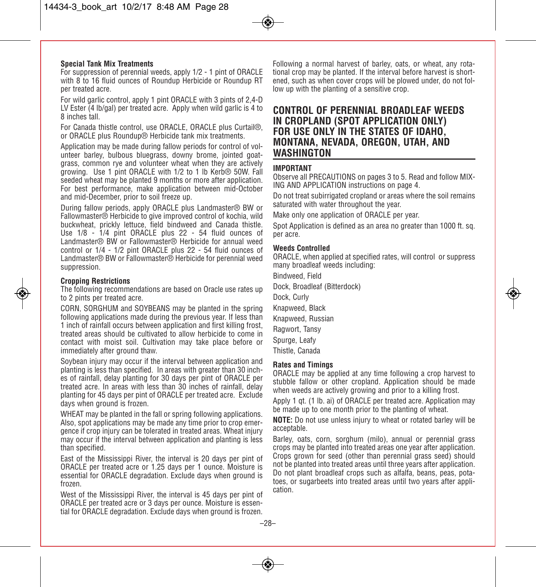### **Special Tank Mix Treatments**

For suppression of perennial weeds, apply 1/2 - 1 pint of ORACLE with 8 to 16 fluid ounces of Roundup Herbicide or Roundup RT per treated acre.

For wild garlic control, apply 1 pint ORACLE with 3 pints of 2,4-D LV Ester (4 lb/gal) per treated acre. Apply when wild garlic is 4 to 8 inches tall.

For Canada thistle control, use ORACLE, ORACLE plus Curtail®, or ORACLE plus Roundup® Herbicide tank mix treatments.

Application may be made during fallow periods for control of volunteer barley, bulbous bluegrass, downy brome, jointed goatgrass, common rye and volunteer wheat when they are actively growing. Use 1 pint ORACLE with 1/2 to 1 lb Kerb® 50W. Fall seeded wheat may be planted 9 months or more after application. For best performance, make application between mid-October and mid-December, prior to soil freeze up.

During fallow periods, apply ORACLE plus Landmaster® BW or Fallowmaster® Herbicide to give improved control of kochia, wild buckwheat, prickly lettuce, field bindweed and Canada thistle. Use 1/8 - 1/4 pint ORACLE plus 22 - 54 fluid ounces of Landmaster® BW or Fallowmaster® Herbicide for annual weed control or 1/4 - 1/2 pint ORACLE plus 22 - 54 fluid ounces of Landmaster® BW or Fallowmaster® Herbicide for perennial weed suppression.

#### **Cropping Restrictions**

The following recommendations are based on Oracle use rates up to 2 pints per treated acre.

CORN, SORGHUM and SOYBEANS may be planted in the spring following applications made during the previous year. If less than 1 inch of rainfall occurs between application and first killing frost, treated areas should be cultivated to allow herbicide to come in contact with moist soil. Cultivation may take place before or immediately after ground thaw.

Soybean injury may occur if the interval between application and planting is less than specified. In areas with greater than 30 inches of rainfall, delay planting for 30 days per pint of ORACLE per treated acre. In areas with less than 30 inches of rainfall, delay planting for 45 days per pint of ORACLE per treated acre. Exclude days when ground is frozen.

WHEAT may be planted in the fall or spring following applications. Also, spot applications may be made any time prior to crop emergence if crop injury can be tolerated in treated areas. Wheat injury may occur if the interval between application and planting is less than specified.

East of the Mississippi River, the interval is 20 days per pint of ORACLE per treated acre or 1.25 days per 1 ounce. Moisture is essential for ORACLE degradation. Exclude days when ground is frozen.

West of the Mississippi River, the interval is 45 days per pint of ORACLE per treated acre or 3 days per ounce. Moisture is essential for ORACLE degradation. Exclude days when ground is frozen.

Following a normal harvest of barley, oats, or wheat, any rotational crop may be planted. If the interval before harvest is shortened, such as when cover crops will be plowed under, do not follow up with the planting of a sensitive crop.

# **CONTROL OF PERENNIAL BROADLEAF WEEDS IN CROPLAND (SPOT APPLICATION ONLY) FOR USE ONLY IN THE STATES OF IDAHO, MONTANA, NEVADA, OREGON, UTAH, AND WASHINGTON**

# **IMPORTANT**

Observe all PRECAUTIONS on pages 3 to 5. Read and follow MIX-ING AND APPLICATION instructions on page 4.

Do not treat subirrigated cropland or areas where the soil remains saturated with water throughout the year.

Make only one application of ORACLE per year.

Spot Application is defined as an area no greater than 1000 ft. sq. per acre.

#### **Weeds Controlled**

ORACLE, when applied at specified rates, will control or suppress many broadleaf weeds including:

Bindweed, Field

- Dock, Broadleaf (Bitterdock)
- Dock, Curly

Knapweed, Black

Knapweed, Russian

Ragwort, Tansy

Spurge, Leafy

Thistle, Canada

#### **Rates and Timings**

ORACLE may be applied at any time following a crop harvest to stubble fallow or other cropland. Application should be made when weeds are actively growing and prior to a killing frost.

Apply 1 qt. (1 lb. ai) of ORACLE per treated acre. Application may be made up to one month prior to the planting of wheat.

**NOTE:** Do not use unless injury to wheat or rotated barley will be acceptable.

Barley, oats, corn, sorghum (milo), annual or perennial grass crops may be planted into treated areas one year after application. Crops grown for seed (other than perennial grass seed) should not be planted into treated areas until three years after application. Do not plant broadleaf crops such as alfalfa, beans, peas, potatoes, or sugarbeets into treated areas until two years after application.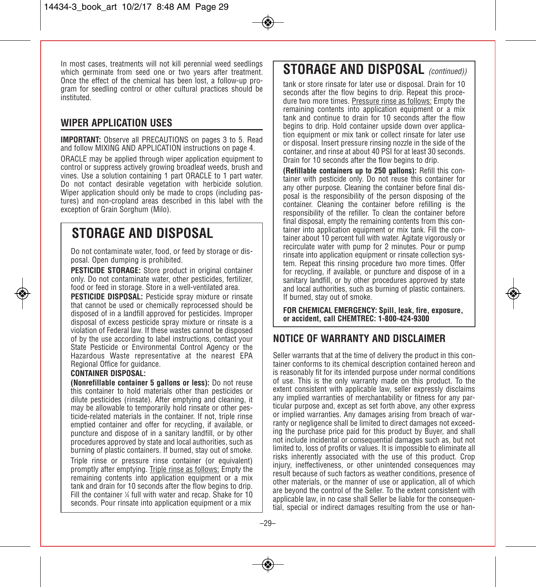In most cases, treatments will not kill perennial weed seedlings which germinate from seed one or two years after treatment. Once the effect of the chemical has been lost, a follow-up program for seedling control or other cultural practices should be instituted.

# **WIPER APPLICATION USES**

**IMPORTANT:** Observe all PRECAUTIONS on pages 3 to 5. Read and follow MIXING AND APPLICATION instructions on page 4.

ORACLE may be applied through wiper application equipment to control or suppress actively growing broadleaf weeds, brush and vines. Use a solution containing 1 part ORACLE to 1 part water. Do not contact desirable vegetation with herbicide solution. Wiper application should only be made to crops (including pastures) and non-cropland areas described in this label with the exception of Grain Sorghum (Milo).

# **STORAGE AND DISPOSAL**

Do not contaminate water, food, or feed by storage or disposal. Open dumping is prohibited.

**PESTICIDE STORAGE:** Store product in original container only. Do not contaminate water, other pesticides, fertilizer, food or feed in storage. Store in a well-ventilated area.

**PESTICIDE DISPOSAL:** Pesticide spray mixture or rinsate that cannot be used or chemically reprocessed should be disposed of in a landfill approved for pesticides. Improper disposal of excess pesticide spray mixture or rinsate is a violation of Federal law. If these wastes cannot be disposed of by the use according to label instructions, contact your State Pesticide or Environmental Control Agency or the Hazardous Waste representative at the nearest EPA Regional Office for guidance.

# **CONTAINER DISPOSAL:**

**(Nonrefillable container 5 gallons or less):** Do not reuse this container to hold materials other than pesticides or dilute pesticides (rinsate). After emptying and cleaning, it may be allowable to temporarily hold rinsate or other pesticide-related materials in the container. If not, triple rinse emptied container and offer for recycling, if available, or puncture and dispose of in a sanitary landfill, or by other procedures approved by state and local authorities, such as burning of plastic containers. If burned, stay out of smoke.

Triple rinse or pressure rinse container (or equivalent) promptly after emptying. Triple rinse as follows: Empty the remaining contents into application equipment or a mix tank and drain for 10 seconds after the flow begins to drip. Fill the container  $\frac{1}{4}$  full with water and recap. Shake for 10 seconds. Pour rinsate into application equipment or a mix

# **STORAGE AND DISPOSAL** *(continued))*

tank or store rinsate for later use or disposal. Drain for 10 seconds after the flow begins to drip. Repeat this procedure two more times. Pressure rinse as follows: Empty the remaining contents into application equipment or a mix tank and continue to drain for 10 seconds after the flow begins to drip. Hold container upside down over application equipment or mix tank or collect rinsate for later use or disposal. Insert pressure rinsing nozzle in the side of the container, and rinse at about 40 PSI for at least 30 seconds. Drain for 10 seconds after the flow begins to drip.

**(Refillable containers up to 250 gallons):** Refill this container with pesticide only. Do not reuse this container for any other purpose. Cleaning the container before final disposal is the responsibility of the person disposing of the container. Cleaning the container before refilling is the responsibility of the refiller. To clean the container before final disposal, empty the remaining contents from this container into application equipment or mix tank. Fill the container about 10 percent full with water. Agitate vigorously or recirculate water with pump for 2 minutes. Pour or pump rinsate into application equipment or rinsate collection system. Repeat this rinsing procedure two more times. Offer for recycling, if available, or puncture and dispose of in a sanitary landfill, or by other procedures approved by state and local authorities, such as burning of plastic containers. If burned, stay out of smoke.

**FOR CHEMICAL EMERGENCY: Spill, leak, fire, exposure, or accident, call CHEMTREC: 1-800-424-9300**

# **NOTICE OF WARRANTY AND DISCLAIMER**

Seller warrants that at the time of delivery the product in this container conforms to its chemical description contained hereon and is reasonably fit for its intended purpose under normal conditions of use. This is the only warranty made on this product. To the extent consistent with applicable law, seller expressly disclaims any implied warranties of merchantability or fitness for any particular purpose and, except as set forth above, any other express or implied warranties. Any damages arising from breach of warranty or negligence shall be limited to direct damages not exceeding the purchase price paid for this product by Buyer, and shall not include incidental or consequential damages such as, but not limited to, loss of profits or values. It is impossible to eliminate all risks inherently associated with the use of this product. Crop injury, ineffectiveness, or other unintended consequences may result because of such factors as weather conditions, presence of other materials, or the manner of use or application, all of which are beyond the control of the Seller. To the extent consistent with applicable law, in no case shall Seller be liable for the consequential, special or indirect damages resulting from the use or han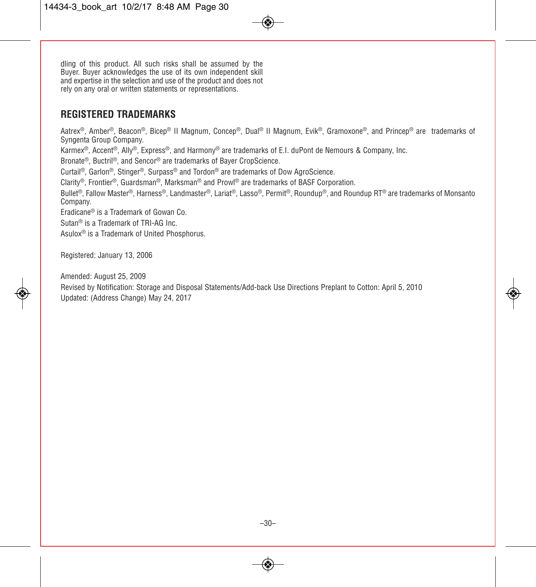dling of this product. All such risks shall be assumed by the Buyer. Buyer acknowledges the use of its own independent skill and expertise in the selection and use of the product and does not rely on any oral or written statements or representations.

# **REGISTERED TRADEMARKS**

Aatrex®, Amber®, Beacon®, Bicep® II Magnum, Concep®, Dual® II Magnum, Evik®, Gramoxone®, and Princep® are trademarks of Syngenta Group Company.

Karmex®, Accent®, Ally®, Express®, and Harmony® are trademarks of E.I. duPont de Nemours & Company, Inc.

Bronate<sup>®</sup>, Buctril<sup>®</sup>, and Sencor<sup>®</sup> are trademarks of Bayer CropScience.

Curtail<sup>®</sup>, Garlon<sup>®</sup>, Stinger<sup>®</sup>, Surpass<sup>®</sup> and Tordon<sup>®</sup> are trademarks of Dow AgroScience.

Claritv®, Frontier®, Guardsman®, Marksman® and Prowl® are trademarks of BASF Corporation.

Bullet®, Fallow Master®, Harness®, Landmaster®, Lariat®, Lasso®, Permit®, Roundup®, and Roundup RT® are trademarks of Monsanto Company.

Eradicane® is a Trademark of Gowan Co.

Sutan® is a Trademark of TRI-AG Inc.

Asulox® is a Trademark of United Phosphorus.

Registered: January 13, 2006

Amended: August 25, 2009 Revised by Notification: Storage and Disposal Statements/Add-back Use Directions Preplant to Cotton: April 5, 2010 Updated: (Address Change) May 24, 2017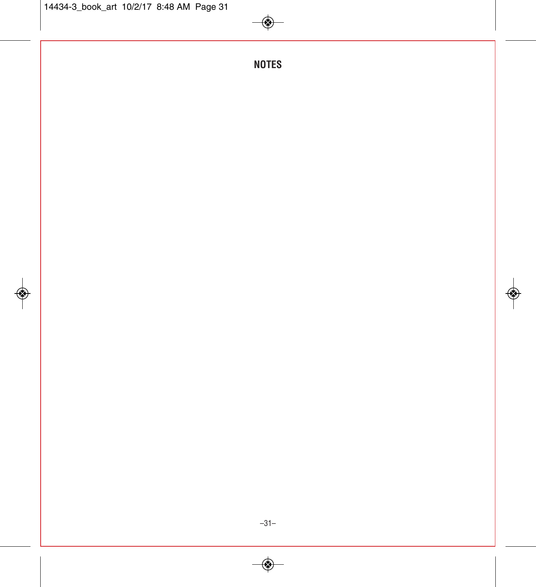14434-3\_book\_art 10/2/17 8:48 AM Page 31

❤

**NOTES**

◈

◈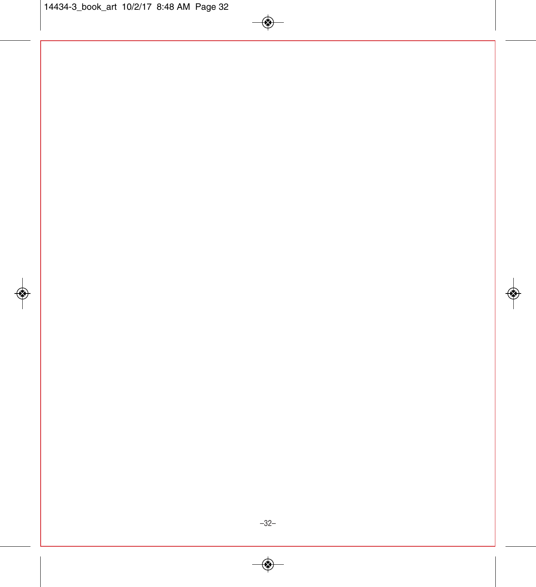$\bigcirc$ 



 $\bigcirc$ 

 $\rightarrow$